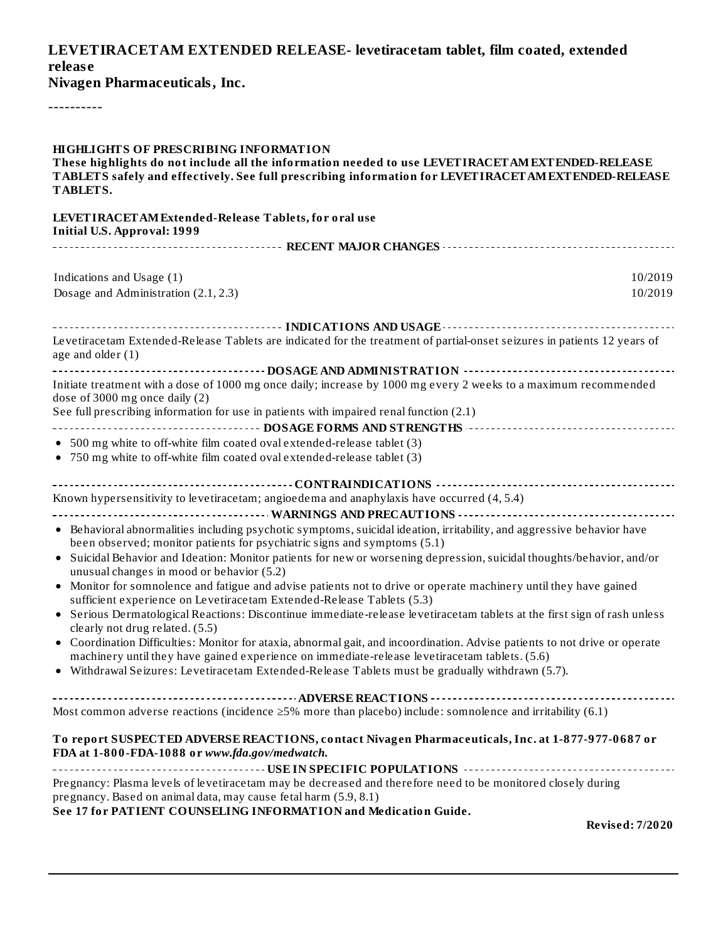## **LEVETIRACETAM EXTENDED RELEASE- levetiracetam tablet, film coated, extended releas e**

**Nivagen Pharmaceuticals, Inc.**

----------

| <b>HIGHLIGHTS OF PRESCRIBING INFORMATION</b><br>These highlights do not include all the information needed to use LEVETIRACET AM EXTENDED-RELEASE<br>TABLETS safely and effectively. See full prescribing information for LEVETIRACETAM EXTENDED-RELEASE<br>TABLETS. |
|----------------------------------------------------------------------------------------------------------------------------------------------------------------------------------------------------------------------------------------------------------------------|
| LEVETIRACETAM Extended-Release Tablets, for oral use<br><b>Initial U.S. Approval: 1999</b>                                                                                                                                                                           |
|                                                                                                                                                                                                                                                                      |
| Indications and Usage (1)<br>10/2019                                                                                                                                                                                                                                 |
| Dosage and Administration (2.1, 2.3)<br>10/2019                                                                                                                                                                                                                      |
|                                                                                                                                                                                                                                                                      |
| Levetiracetam Extended-Release Tablets are indicated for the treatment of partial-onset seizures in patients 12 years of<br>age and older $(1)$                                                                                                                      |
|                                                                                                                                                                                                                                                                      |
| Initiate treatment with a dose of 1000 mg once daily; increase by 1000 mg every 2 weeks to a maximum recommended<br>dose of 3000 mg once daily (2)                                                                                                                   |
| See full prescribing information for use in patients with impaired renal function (2.1)                                                                                                                                                                              |
| ------------------------------------- DOSAGE FORMS AND STRENGTHS ----------------------------------                                                                                                                                                                  |
| • 500 mg white to off-white film coated oval extended-release tablet (3)<br>• 750 mg white to off-white film coated oval extended-release tablet (3)                                                                                                                 |
| Known hypersensitivity to levetiracetam; angioedema and anaphylaxis have occurred (4, 5.4)                                                                                                                                                                           |
|                                                                                                                                                                                                                                                                      |
| • Behavioral abnormalities including psychotic symptoms, suicidal ideation, irritability, and aggressive behavior have<br>been observed; monitor patients for psychiatric signs and symptoms (5.1)                                                                   |
| Suicidal Behavior and Ideation: Monitor patients for new or worsening depression, suicidal thoughts/behavior, and/or<br>$\bullet$<br>unusual changes in mood or behavior (5.2)                                                                                       |
| • Monitor for somnolence and fatigue and advise patients not to drive or operate machinery until they have gained<br>sufficient experience on Levetiracetam Extended-Release Tablets (5.3)                                                                           |
| • Serious Dermatological Reactions: Discontinue immediate-release levetiracetam tablets at the first sign of rash unless<br>clearly not drug related. (5.5)                                                                                                          |
| • Coordination Difficulties: Monitor for ataxia, abnormal gait, and incoordination. Advise patients to not drive or operate                                                                                                                                          |
| machinery until they have gained experience on immediate-release levetiracetam tablets. (5.6)                                                                                                                                                                        |
| • Withdrawal Seizures: Levetiracetam Extended-Release Tablets must be gradually withdrawn (5.7).                                                                                                                                                                     |
|                                                                                                                                                                                                                                                                      |
| Most common adverse reactions (incidence $\geq$ 5% more than placebo) include: somnolence and irritability (6.1)                                                                                                                                                     |
| To report SUSPECTED ADVERSE REACTIONS, contact Nivagen Pharmaceuticals, Inc. at 1-877-977-0687 or<br>FDA at 1-800-FDA-1088 or www.fda.gov/medwatch.                                                                                                                  |
|                                                                                                                                                                                                                                                                      |
| Pregnancy: Plasma levels of levetiracetam may be decreased and therefore need to be monitored closely during<br>pregnancy. Based on animal data, may cause fetal harm (5.9, 8.1)                                                                                     |
| See 17 for PATIENT COUNSELING INFORMATION and Medication Guide.<br><b>Revised: 7/2020</b>                                                                                                                                                                            |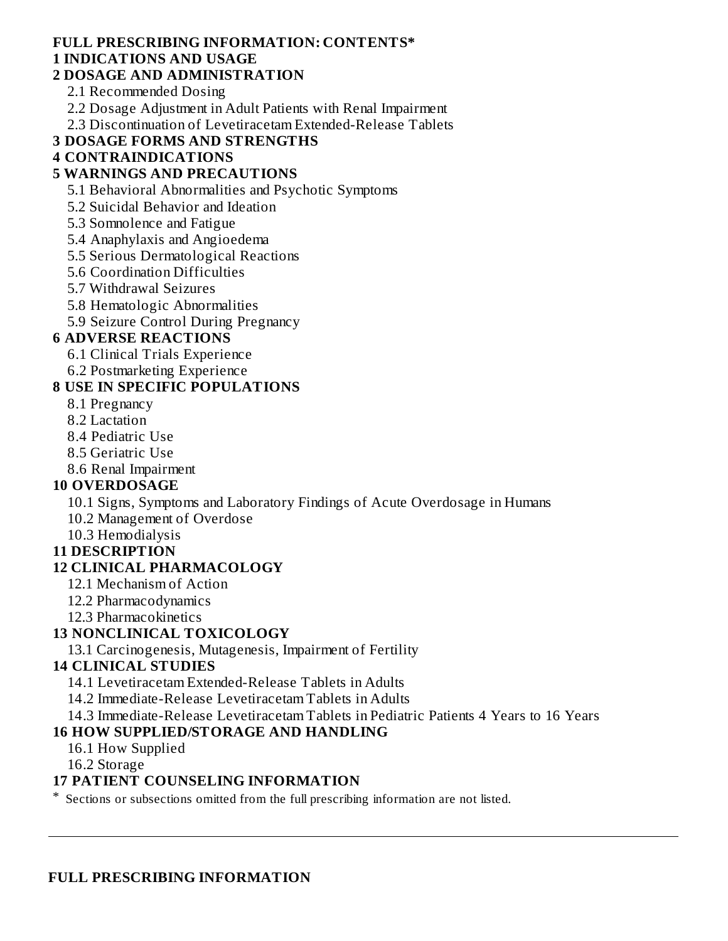## **FULL PRESCRIBING INFORMATION: CONTENTS\***

## **1 INDICATIONS AND USAGE**

### **2 DOSAGE AND ADMINISTRATION**

2.1 Recommended Dosing

2.2 Dosage Adjustment in Adult Patients with Renal Impairment

2.3 Discontinuation of Levetiracetam Extended-Release Tablets

### **3 DOSAGE FORMS AND STRENGTHS**

**4 CONTRAINDICATIONS**

### **5 WARNINGS AND PRECAUTIONS**

5.1 Behavioral Abnormalities and Psychotic Symptoms

5.2 Suicidal Behavior and Ideation

5.3 Somnolence and Fatigue

5.4 Anaphylaxis and Angioedema

5.5 Serious Dermatological Reactions

5.6 Coordination Difficulties

5.7 Withdrawal Seizures

5.8 Hematologic Abnormalities

5.9 Seizure Control During Pregnancy

### **6 ADVERSE REACTIONS**

6.1 Clinical Trials Experience

6.2 Postmarketing Experience

### **8 USE IN SPECIFIC POPULATIONS**

8.1 Pregnancy

8.2 Lactation

8.4 Pediatric Use

8.5 Geriatric Use

8.6 Renal Impairment

### **10 OVERDOSAGE**

10.1 Signs, Symptoms and Laboratory Findings of Acute Overdosage in Humans

10.2 Management of Overdose

10.3 Hemodialysis

### **11 DESCRIPTION**

## **12 CLINICAL PHARMACOLOGY**

12.1 Mechanism of Action

12.2 Pharmacodynamics

12.3 Pharmacokinetics

### **13 NONCLINICAL TOXICOLOGY**

13.1 Carcinogenesis, Mutagenesis, Impairment of Fertility

### **14 CLINICAL STUDIES**

14.1 Levetiracetam Extended-Release Tablets in Adults

14.2 Immediate-Release Levetiracetam Tablets in Adults

14.3 Immediate-Release Levetiracetam Tablets in Pediatric Patients 4 Years to 16 Years

### **16 HOW SUPPLIED/STORAGE AND HANDLING**

16.1 How Supplied

16.2 Storage

### **17 PATIENT COUNSELING INFORMATION**

\* Sections or subsections omitted from the full prescribing information are not listed.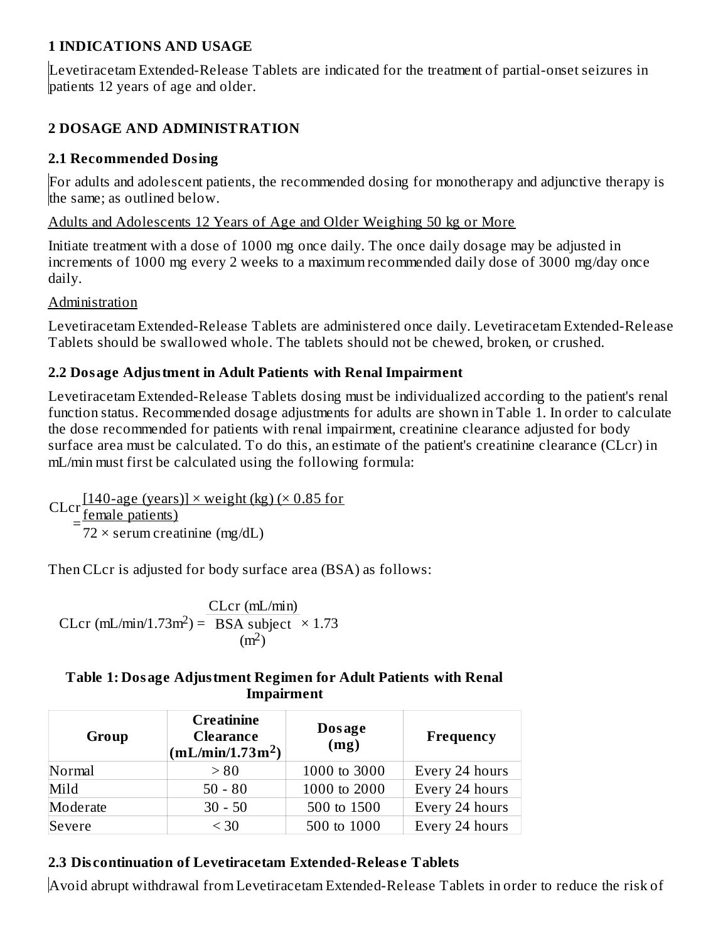## **1 INDICATIONS AND USAGE**

Levetiracetam Extended-Release Tablets are indicated for the treatment of partial-onset seizures in patients 12 years of age and older.

## **2 DOSAGE AND ADMINISTRATION**

### **2.1 Recommended Dosing**

For adults and adolescent patients, the recommended dosing for monotherapy and adjunctive therapy is the same; as outlined below.

Adults and Adolescents 12 Years of Age and Older Weighing 50 kg or More

Initiate treatment with a dose of 1000 mg once daily. The once daily dosage may be adjusted in increments of 1000 mg every 2 weeks to a maximum recommended daily dose of 3000 mg/day once daily.

### Administration

Levetiracetam Extended-Release Tablets are administered once daily. Levetiracetam Extended-Release Tablets should be swallowed whole. The tablets should not be chewed, broken, or crushed.

## **2.2 Dosage Adjustment in Adult Patients with Renal Impairment**

Levetiracetam Extended-Release Tablets dosing must be individualized according to the patient's renal function status. Recommended dosage adjustments for adults are shown in Table 1. In order to calculate the dose recommended for patients with renal impairment, creatinine clearance adjusted for body surface area must be calculated. To do this, an estimate of the patient's creatinine clearance (CLcr) in mL/min must first be calculated using the following formula:

CLcr =  $[140$ -age (years)]  $\times$  weight (kg) ( $\times$  0.85 for female patients)  $72 \times$  serum creatinine (mg/dL)

Then CLcr is adjusted for body surface area (BSA) as follows:

CLcr (mL/min/1.73m<sup>2</sup>) =  $\sqrt{BSA}$  subject  $\times$  1.73 CLcr (mL/min)  $(m<sup>2</sup>)$ 

### **Table 1: Dosage Adjustment Regimen for Adult Patients with Renal Impairment**

| Group    | <b>Creatinine</b><br><b>Clearance</b><br>(mL/min/1.73m <sup>2</sup> ) | Dosage<br>(mg) | Frequency      |
|----------|-----------------------------------------------------------------------|----------------|----------------|
| Normal   | > 80                                                                  | 1000 to 3000   | Every 24 hours |
| Mild     | $50 - 80$                                                             | 1000 to 2000   | Every 24 hours |
| Moderate | $30 - 50$                                                             | 500 to 1500    | Every 24 hours |
| Severe   | $<$ 30                                                                | 500 to 1000    | Every 24 hours |

## **2.3 Dis continuation of Levetiracetam Extended-Releas e Tablets**

Avoid abrupt withdrawal from Levetiracetam Extended-Release Tablets in order to reduce the risk of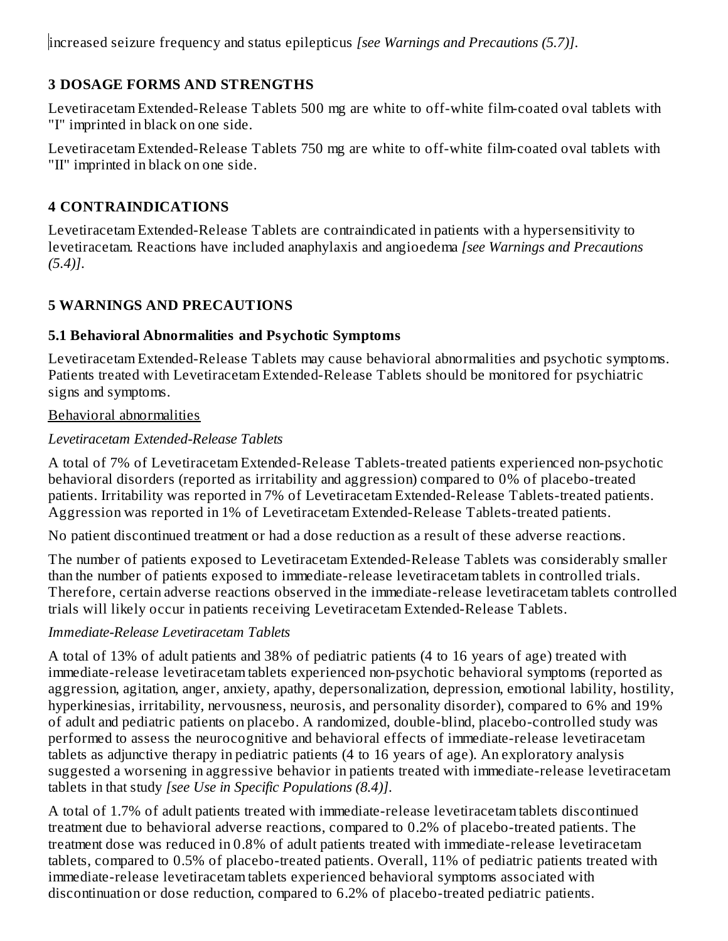increased seizure frequency and status epilepticus *[see Warnings and Precautions (5.7)]*.

## **3 DOSAGE FORMS AND STRENGTHS**

Levetiracetam Extended-Release Tablets 500 mg are white to off-white film-coated oval tablets with "I" imprinted in black on one side.

Levetiracetam Extended-Release Tablets 750 mg are white to off-white film-coated oval tablets with "II" imprinted in black on one side.

## **4 CONTRAINDICATIONS**

Levetiracetam Extended-Release Tablets are contraindicated in patients with a hypersensitivity to levetiracetam. Reactions have included anaphylaxis and angioedema *[see Warnings and Precautions (5.4)]*.

## **5 WARNINGS AND PRECAUTIONS**

## **5.1 Behavioral Abnormalities and Psychotic Symptoms**

Levetiracetam Extended-Release Tablets may cause behavioral abnormalities and psychotic symptoms. Patients treated with Levetiracetam Extended-Release Tablets should be monitored for psychiatric signs and symptoms.

## Behavioral abnormalities

## *Levetiracetam Extended-Release Tablets*

A total of 7% of Levetiracetam Extended-Release Tablets-treated patients experienced non-psychotic behavioral disorders (reported as irritability and aggression) compared to 0% of placebo-treated patients. Irritability was reported in 7% of Levetiracetam Extended-Release Tablets-treated patients. Aggression was reported in 1% of Levetiracetam Extended-Release Tablets-treated patients.

No patient discontinued treatment or had a dose reduction as a result of these adverse reactions.

The number of patients exposed to Levetiracetam Extended-Release Tablets was considerably smaller than the number of patients exposed to immediate-release levetiracetam tablets in controlled trials. Therefore, certain adverse reactions observed in the immediate-release levetiracetam tablets controlled trials will likely occur in patients receiving Levetiracetam Extended-Release Tablets.

## *Immediate-Release Levetiracetam Tablets*

A total of 13% of adult patients and 38% of pediatric patients (4 to 16 years of age) treated with immediate-release levetiracetam tablets experienced non-psychotic behavioral symptoms (reported as aggression, agitation, anger, anxiety, apathy, depersonalization, depression, emotional lability, hostility, hyperkinesias, irritability, nervousness, neurosis, and personality disorder), compared to 6% and 19% of adult and pediatric patients on placebo. A randomized, double-blind, placebo-controlled study was performed to assess the neurocognitive and behavioral effects of immediate-release levetiracetam tablets as adjunctive therapy in pediatric patients (4 to 16 years of age). An exploratory analysis suggested a worsening in aggressive behavior in patients treated with immediate-release levetiracetam tablets in that study *[see Use in Specific Populations (8.4)]*.

A total of 1.7% of adult patients treated with immediate-release levetiracetam tablets discontinued treatment due to behavioral adverse reactions, compared to 0.2% of placebo-treated patients. The treatment dose was reduced in 0.8% of adult patients treated with immediate-release levetiracetam tablets, compared to 0.5% of placebo-treated patients. Overall, 11% of pediatric patients treated with immediate-release levetiracetam tablets experienced behavioral symptoms associated with discontinuation or dose reduction, compared to 6.2% of placebo-treated pediatric patients.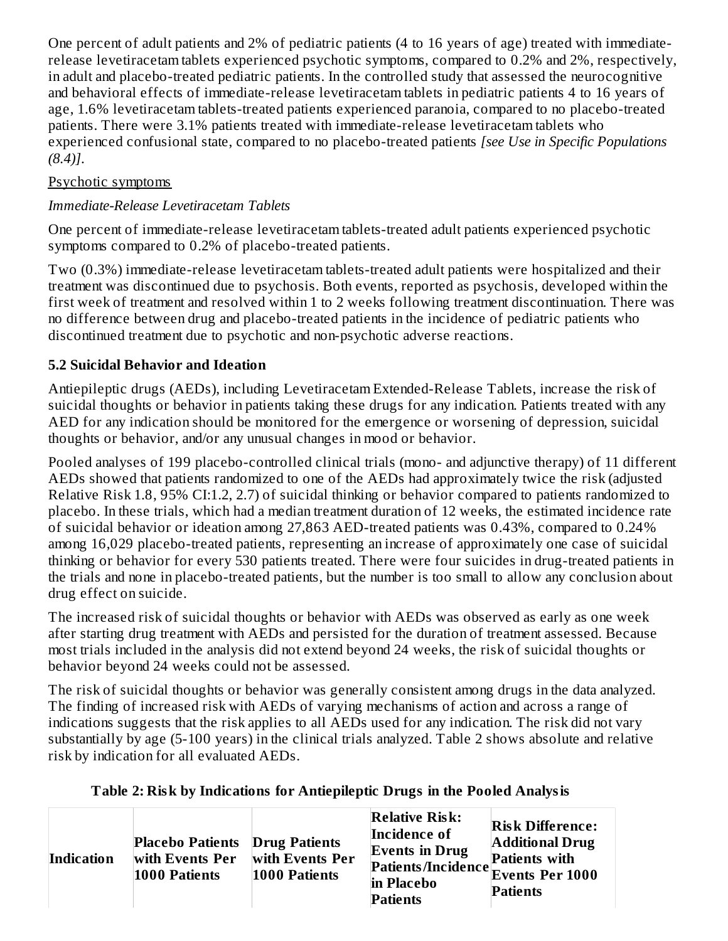One percent of adult patients and 2% of pediatric patients (4 to 16 years of age) treated with immediaterelease levetiracetam tablets experienced psychotic symptoms, compared to 0.2% and 2%, respectively, in adult and placebo-treated pediatric patients. In the controlled study that assessed the neurocognitive and behavioral effects of immediate-release levetiracetam tablets in pediatric patients 4 to 16 years of age, 1.6% levetiracetam tablets-treated patients experienced paranoia, compared to no placebo-treated patients. There were 3.1% patients treated with immediate-release levetiracetam tablets who experienced confusional state, compared to no placebo-treated patients *[see Use in Specific Populations (8.4)]*.

### Psychotic symptoms

### *Immediate-Release Levetiracetam Tablets*

One percent of immediate-release levetiracetam tablets-treated adult patients experienced psychotic symptoms compared to 0.2% of placebo-treated patients.

Two (0.3%) immediate-release levetiracetam tablets-treated adult patients were hospitalized and their treatment was discontinued due to psychosis. Both events, reported as psychosis, developed within the first week of treatment and resolved within 1 to 2 weeks following treatment discontinuation. There was no difference between drug and placebo-treated patients in the incidence of pediatric patients who discontinued treatment due to psychotic and non-psychotic adverse reactions.

### **5.2 Suicidal Behavior and Ideation**

Antiepileptic drugs (AEDs), including Levetiracetam Extended-Release Tablets, increase the risk of suicidal thoughts or behavior in patients taking these drugs for any indication. Patients treated with any AED for any indication should be monitored for the emergence or worsening of depression, suicidal thoughts or behavior, and/or any unusual changes in mood or behavior.

Pooled analyses of 199 placebo-controlled clinical trials (mono- and adjunctive therapy) of 11 different AEDs showed that patients randomized to one of the AEDs had approximately twice the risk (adjusted Relative Risk 1.8, 95% CI:1.2, 2.7) of suicidal thinking or behavior compared to patients randomized to placebo. In these trials, which had a median treatment duration of 12 weeks, the estimated incidence rate of suicidal behavior or ideation among 27,863 AED-treated patients was 0.43%, compared to 0.24% among 16,029 placebo-treated patients, representing an increase of approximately one case of suicidal thinking or behavior for every 530 patients treated. There were four suicides in drug-treated patients in the trials and none in placebo-treated patients, but the number is too small to allow any conclusion about drug effect on suicide.

The increased risk of suicidal thoughts or behavior with AEDs was observed as early as one week after starting drug treatment with AEDs and persisted for the duration of treatment assessed. Because most trials included in the analysis did not extend beyond 24 weeks, the risk of suicidal thoughts or behavior beyond 24 weeks could not be assessed.

The risk of suicidal thoughts or behavior was generally consistent among drugs in the data analyzed. The finding of increased risk with AEDs of varying mechanisms of action and across a range of indications suggests that the risk applies to all AEDs used for any indication. The risk did not vary substantially by age (5-100 years) in the clinical trials analyzed. Table 2 shows absolute and relative risk by indication for all evaluated AEDs.

| Table 2: Risk by Indications for Antiepileptic Drugs in the Pooled Analysis |  |  |
|-----------------------------------------------------------------------------|--|--|
|                                                                             |  |  |

| <b>Indication</b> | <b>Placebo Patients Drug Patients</b><br>with Events Per<br>1000 Patients | with Events Per<br>1000 Patients | <b>Relative Risk:</b><br>Incidence of<br><b>Events in Drug</b><br>Patients/Incidence Events Per 1000<br>in Placebo<br><b>Patients</b> | <b>Risk Difference:</b><br><b>Additional Drug</b><br><b>Patients with</b><br>Patients |
|-------------------|---------------------------------------------------------------------------|----------------------------------|---------------------------------------------------------------------------------------------------------------------------------------|---------------------------------------------------------------------------------------|
|-------------------|---------------------------------------------------------------------------|----------------------------------|---------------------------------------------------------------------------------------------------------------------------------------|---------------------------------------------------------------------------------------|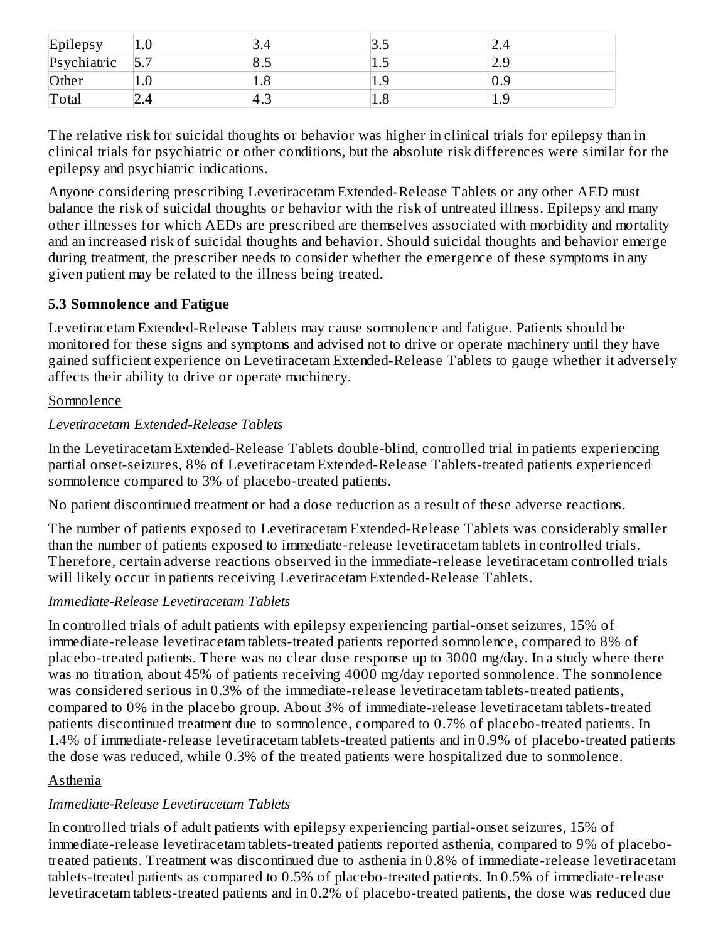| Epilepsy    | $1.0\,$  |     | D.J      | -⊶  |
|-------------|----------|-----|----------|-----|
| Psychiatric | -<br>◡ ・ | 8.5 | ں 1      | ن ک |
| Other       | $1.0\,$  | 1.0 | 1.9      | 0.9 |
| Total       | 2.4      | 4.3 | $_{1.8}$ | エ・フ |

The relative risk for suicidal thoughts or behavior was higher in clinical trials for epilepsy than in clinical trials for psychiatric or other conditions, but the absolute risk differences were similar for the epilepsy and psychiatric indications.

Anyone considering prescribing Levetiracetam Extended-Release Tablets or any other AED must balance the risk of suicidal thoughts or behavior with the risk of untreated illness. Epilepsy and many other illnesses for which AEDs are prescribed are themselves associated with morbidity and mortality and an increased risk of suicidal thoughts and behavior. Should suicidal thoughts and behavior emerge during treatment, the prescriber needs to consider whether the emergence of these symptoms in any given patient may be related to the illness being treated.

### **5.3 Somnolence and Fatigue**

Levetiracetam Extended-Release Tablets may cause somnolence and fatigue. Patients should be monitored for these signs and symptoms and advised not to drive or operate machinery until they have gained sufficient experience on Levetiracetam Extended-Release Tablets to gauge whether it adversely affects their ability to drive or operate machinery.

### Somnolence

#### *Levetiracetam Extended-Release Tablets*

In the Levetiracetam Extended-Release Tablets double-blind, controlled trial in patients experiencing partial onset-seizures, 8% of Levetiracetam Extended-Release Tablets-treated patients experienced somnolence compared to 3% of placebo-treated patients.

No patient discontinued treatment or had a dose reduction as a result of these adverse reactions.

The number of patients exposed to Levetiracetam Extended-Release Tablets was considerably smaller than the number of patients exposed to immediate-release levetiracetam tablets in controlled trials. Therefore, certain adverse reactions observed in the immediate-release levetiracetam controlled trials will likely occur in patients receiving Levetiracetam Extended-Release Tablets.

### *Immediate-Release Levetiracetam Tablets*

In controlled trials of adult patients with epilepsy experiencing partial-onset seizures, 15% of immediate-release levetiracetam tablets-treated patients reported somnolence, compared to 8% of placebo-treated patients. There was no clear dose response up to 3000 mg/day. In a study where there was no titration, about 45% of patients receiving 4000 mg/day reported somnolence. The somnolence was considered serious in 0.3% of the immediate-release levetiracetam tablets-treated patients, compared to 0% in the placebo group. About 3% of immediate-release levetiracetam tablets-treated patients discontinued treatment due to somnolence, compared to 0.7% of placebo-treated patients. In 1.4% of immediate-release levetiracetam tablets-treated patients and in 0.9% of placebo-treated patients the dose was reduced, while 0.3% of the treated patients were hospitalized due to somnolence.

### Asthenia

### *Immediate-Release Levetiracetam Tablets*

In controlled trials of adult patients with epilepsy experiencing partial-onset seizures, 15% of immediate-release levetiracetam tablets-treated patients reported asthenia, compared to 9% of placebotreated patients. Treatment was discontinued due to asthenia in 0.8% of immediate-release levetiracetam tablets-treated patients as compared to 0.5% of placebo-treated patients. In 0.5% of immediate-release levetiracetam tablets-treated patients and in 0.2% of placebo-treated patients, the dose was reduced due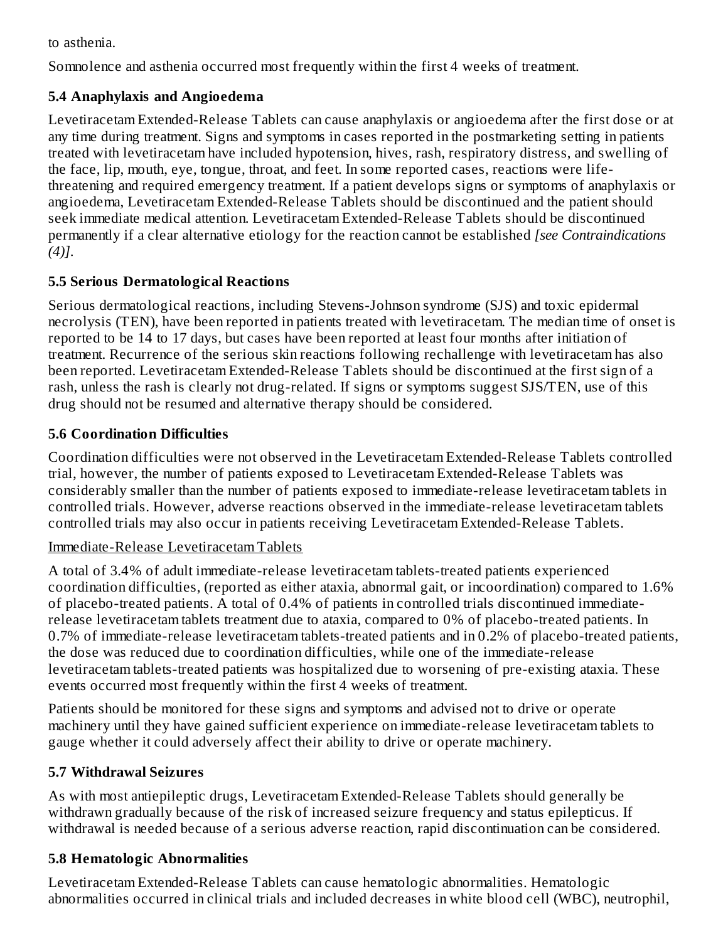to asthenia.

Somnolence and asthenia occurred most frequently within the first 4 weeks of treatment.

## **5.4 Anaphylaxis and Angioedema**

Levetiracetam Extended-Release Tablets can cause anaphylaxis or angioedema after the first dose or at any time during treatment. Signs and symptoms in cases reported in the postmarketing setting in patients treated with levetiracetam have included hypotension, hives, rash, respiratory distress, and swelling of the face, lip, mouth, eye, tongue, throat, and feet. In some reported cases, reactions were lifethreatening and required emergency treatment. If a patient develops signs or symptoms of anaphylaxis or angioedema, Levetiracetam Extended-Release Tablets should be discontinued and the patient should seek immediate medical attention. Levetiracetam Extended-Release Tablets should be discontinued permanently if a clear alternative etiology for the reaction cannot be established *[see Contraindications (4)]*.

## **5.5 Serious Dermatological Reactions**

Serious dermatological reactions, including Stevens-Johnson syndrome (SJS) and toxic epidermal necrolysis (TEN), have been reported in patients treated with levetiracetam. The median time of onset is reported to be 14 to 17 days, but cases have been reported at least four months after initiation of treatment. Recurrence of the serious skin reactions following rechallenge with levetiracetam has also been reported. Levetiracetam Extended-Release Tablets should be discontinued at the first sign of a rash, unless the rash is clearly not drug-related. If signs or symptoms suggest SJS/TEN, use of this drug should not be resumed and alternative therapy should be considered.

## **5.6 Coordination Difficulties**

Coordination difficulties were not observed in the Levetiracetam Extended-Release Tablets controlled trial, however, the number of patients exposed to Levetiracetam Extended-Release Tablets was considerably smaller than the number of patients exposed to immediate-release levetiracetam tablets in controlled trials. However, adverse reactions observed in the immediate-release levetiracetam tablets controlled trials may also occur in patients receiving Levetiracetam Extended-Release Tablets.

## Immediate-Release Levetiracetam Tablets

A total of 3.4% of adult immediate-release levetiracetam tablets-treated patients experienced coordination difficulties, (reported as either ataxia, abnormal gait, or incoordination) compared to 1.6% of placebo-treated patients. A total of 0.4% of patients in controlled trials discontinued immediaterelease levetiracetam tablets treatment due to ataxia, compared to 0% of placebo-treated patients. In 0.7% of immediate-release levetiracetam tablets-treated patients and in 0.2% of placebo-treated patients, the dose was reduced due to coordination difficulties, while one of the immediate-release levetiracetam tablets-treated patients was hospitalized due to worsening of pre-existing ataxia. These events occurred most frequently within the first 4 weeks of treatment.

Patients should be monitored for these signs and symptoms and advised not to drive or operate machinery until they have gained sufficient experience on immediate-release levetiracetam tablets to gauge whether it could adversely affect their ability to drive or operate machinery.

## **5.7 Withdrawal Seizures**

As with most antiepileptic drugs, Levetiracetam Extended-Release Tablets should generally be withdrawn gradually because of the risk of increased seizure frequency and status epilepticus. If withdrawal is needed because of a serious adverse reaction, rapid discontinuation can be considered.

## **5.8 Hematologic Abnormalities**

Levetiracetam Extended-Release Tablets can cause hematologic abnormalities. Hematologic abnormalities occurred in clinical trials and included decreases in white blood cell (WBC), neutrophil,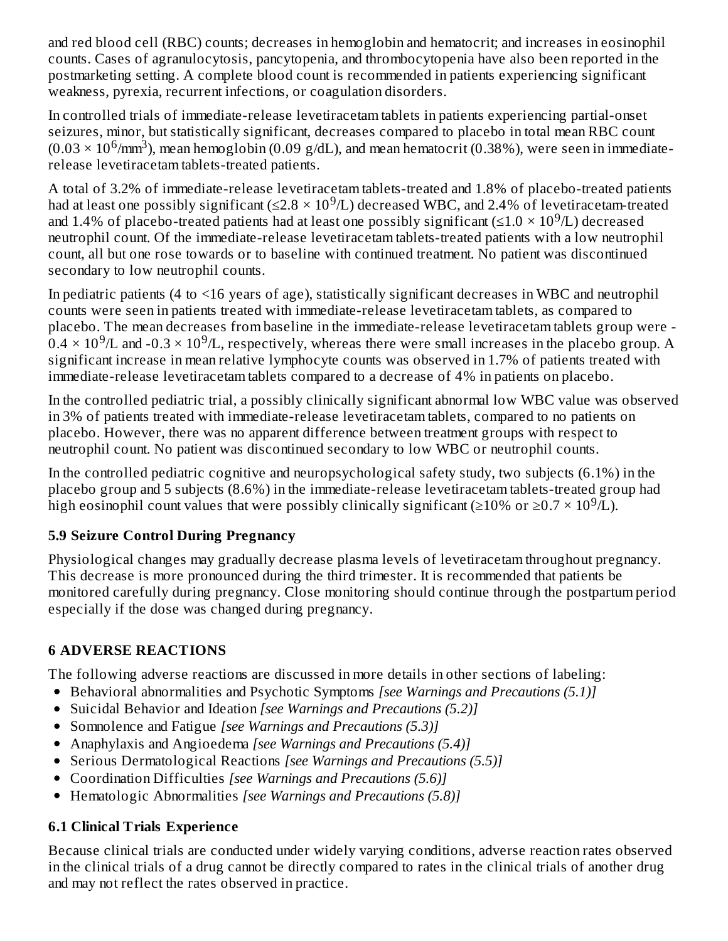and red blood cell (RBC) counts; decreases in hemoglobin and hematocrit; and increases in eosinophil counts. Cases of agranulocytosis, pancytopenia, and thrombocytopenia have also been reported in the postmarketing setting. A complete blood count is recommended in patients experiencing significant weakness, pyrexia, recurrent infections, or coagulation disorders.

In controlled trials of immediate-release levetiracetam tablets in patients experiencing partial-onset seizures, minor, but statistically significant, decreases compared to placebo in total mean RBC count  $(0.03 \times 10^6/\text{mm}^3)$ , mean hemoglobin (0.09 g/dL), and mean hematocrit (0.38%), were seen in immediaterelease levetiracetam tablets-treated patients.

A total of 3.2% of immediate-release levetiracetam tablets-treated and 1.8% of placebo-treated patients had at least one possibly significant (≤2.8 × 10<sup>9</sup>/L) decreased WBC, and 2.4% of levetiracetam-treated and 1.4% of placebo-treated patients had at least one possibly significant (≤1.0 × 10<sup>9</sup>/L) decreased neutrophil count. Of the immediate-release levetiracetam tablets-treated patients with a low neutrophil count, all but one rose towards or to baseline with continued treatment. No patient was discontinued secondary to low neutrophil counts.

In pediatric patients (4 to <16 years of age), statistically significant decreases in WBC and neutrophil counts were seen in patients treated with immediate-release levetiracetam tablets, as compared to placebo. The mean decreases from baseline in the immediate-release levetiracetam tablets group were -  $0.4 \times 10^9$ /L and -0.3  $\times$  10<sup>9</sup>/L, respectively, whereas there were small increases in the placebo group. A significant increase in mean relative lymphocyte counts was observed in 1.7% of patients treated with immediate-release levetiracetam tablets compared to a decrease of 4% in patients on placebo.

In the controlled pediatric trial, a possibly clinically significant abnormal low WBC value was observed in 3% of patients treated with immediate-release levetiracetam tablets, compared to no patients on placebo. However, there was no apparent difference between treatment groups with respect to neutrophil count. No patient was discontinued secondary to low WBC or neutrophil counts.

In the controlled pediatric cognitive and neuropsychological safety study, two subjects (6.1%) in the placebo group and 5 subjects (8.6%) in the immediate-release levetiracetam tablets-treated group had high eosinophil count values that were possibly clinically significant (≥10% or ≥0.7 × 10<sup>9</sup>/L).

## **5.9 Seizure Control During Pregnancy**

Physiological changes may gradually decrease plasma levels of levetiracetam throughout pregnancy. This decrease is more pronounced during the third trimester. It is recommended that patients be monitored carefully during pregnancy. Close monitoring should continue through the postpartum period especially if the dose was changed during pregnancy.

## **6 ADVERSE REACTIONS**

The following adverse reactions are discussed in more details in other sections of labeling:

- Behavioral abnormalities and Psychotic Symptoms *[see Warnings and Precautions (5.1)]*
- Suicidal Behavior and Ideation *[see Warnings and Precautions (5.2)]*
- Somnolence and Fatigue *[see Warnings and Precautions (5.3)]*
- Anaphylaxis and Angioedema *[see Warnings and Precautions (5.4)]*
- Serious Dermatological Reactions *[see Warnings and Precautions (5.5)]*
- Coordination Difficulties *[see Warnings and Precautions (5.6)]*
- Hematologic Abnormalities *[see Warnings and Precautions (5.8)]*

## **6.1 Clinical Trials Experience**

Because clinical trials are conducted under widely varying conditions, adverse reaction rates observed in the clinical trials of a drug cannot be directly compared to rates in the clinical trials of another drug and may not reflect the rates observed in practice.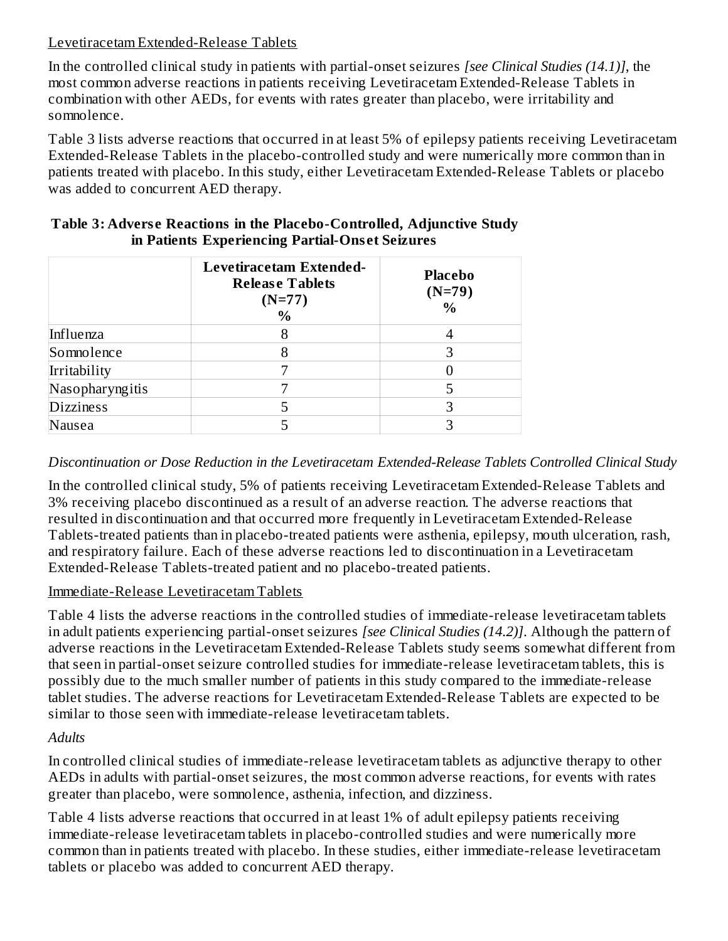### Levetiracetam Extended-Release Tablets

In the controlled clinical study in patients with partial-onset seizures *[see Clinical Studies (14.1)]*, the most common adverse reactions in patients receiving Levetiracetam Extended-Release Tablets in combination with other AEDs, for events with rates greater than placebo, were irritability and somnolence.

Table 3 lists adverse reactions that occurred in at least 5% of epilepsy patients receiving Levetiracetam Extended-Release Tablets in the placebo-controlled study and were numerically more common than in patients treated with placebo. In this study, either Levetiracetam Extended-Release Tablets or placebo was added to concurrent AED therapy.

|                  | Levetiracetam Extended-<br><b>Release Tablets</b><br>$(N=77)$<br>$\%$ | <b>Placebo</b><br>$(N=79)$<br>$\frac{0}{0}$ |
|------------------|-----------------------------------------------------------------------|---------------------------------------------|
| Influenza        |                                                                       |                                             |
| Somnolence       |                                                                       |                                             |
| Irritability     |                                                                       |                                             |
| Nasopharyngitis  |                                                                       |                                             |
| <b>Dizziness</b> |                                                                       |                                             |
| Nausea           |                                                                       |                                             |

### **Table 3: Advers e Reactions in the Placebo-Controlled, Adjunctive Study in Patients Experiencing Partial-Ons et Seizures**

### *Discontinuation or Dose Reduction in the Levetiracetam Extended-Release Tablets Controlled Clinical Study*

In the controlled clinical study, 5% of patients receiving Levetiracetam Extended-Release Tablets and 3% receiving placebo discontinued as a result of an adverse reaction. The adverse reactions that resulted in discontinuation and that occurred more frequently in Levetiracetam Extended-Release Tablets-treated patients than in placebo-treated patients were asthenia, epilepsy, mouth ulceration, rash, and respiratory failure. Each of these adverse reactions led to discontinuation in a Levetiracetam Extended-Release Tablets-treated patient and no placebo-treated patients.

### Immediate-Release Levetiracetam Tablets

Table 4 lists the adverse reactions in the controlled studies of immediate-release levetiracetam tablets in adult patients experiencing partial-onset seizures *[see Clinical Studies (14.2)]*. Although the pattern of adverse reactions in the Levetiracetam Extended-Release Tablets study seems somewhat different from that seen in partial-onset seizure controlled studies for immediate-release levetiracetam tablets, this is possibly due to the much smaller number of patients in this study compared to the immediate-release tablet studies. The adverse reactions for Levetiracetam Extended-Release Tablets are expected to be similar to those seen with immediate-release levetiracetam tablets.

### *Adults*

In controlled clinical studies of immediate-release levetiracetam tablets as adjunctive therapy to other AEDs in adults with partial-onset seizures, the most common adverse reactions, for events with rates greater than placebo, were somnolence, asthenia, infection, and dizziness.

Table 4 lists adverse reactions that occurred in at least 1% of adult epilepsy patients receiving immediate-release levetiracetam tablets in placebo-controlled studies and were numerically more common than in patients treated with placebo. In these studies, either immediate-release levetiracetam tablets or placebo was added to concurrent AED therapy.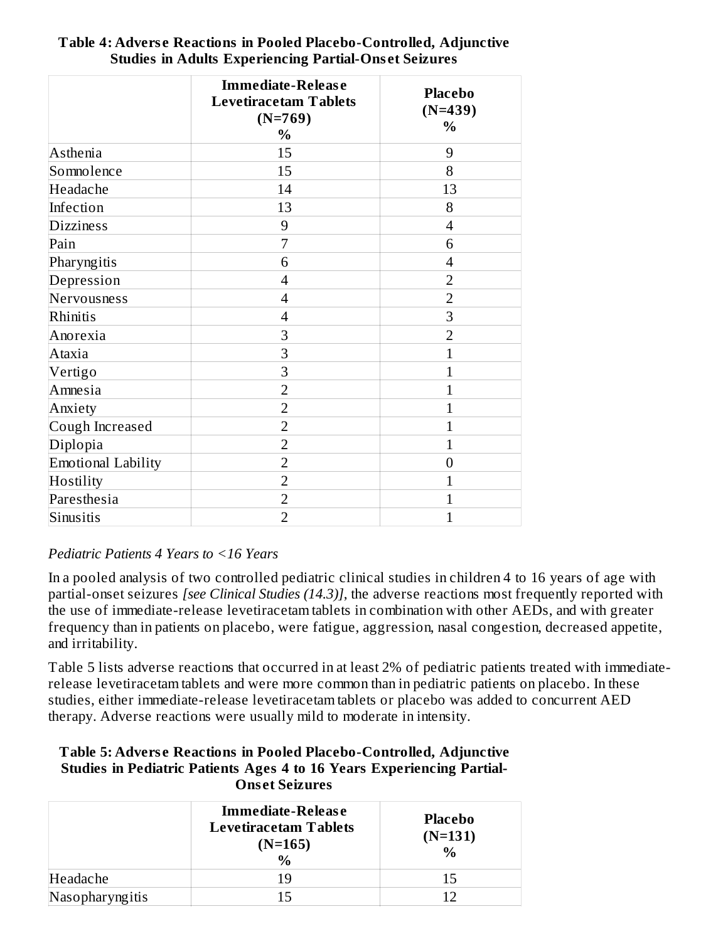|                           | <b>Immediate-Release</b><br><b>Levetiracetam Tablets</b><br>$(N=769)$<br>$\frac{0}{0}$ | <b>Placebo</b><br>$(N=439)$<br>$\frac{0}{0}$ |
|---------------------------|----------------------------------------------------------------------------------------|----------------------------------------------|
| Asthenia                  | 15                                                                                     | 9                                            |
| Somnolence                | 15                                                                                     | 8                                            |
| Headache                  | 14                                                                                     | 13                                           |
| Infection                 | 13                                                                                     | 8                                            |
| <b>Dizziness</b>          | 9                                                                                      | $\overline{4}$                               |
| Pain                      | 7                                                                                      | 6                                            |
| Pharyngitis               | 6                                                                                      | $\overline{4}$                               |
| Depression                | $\overline{4}$                                                                         | $\overline{2}$                               |
| Nervousness               | $\overline{4}$                                                                         | $\overline{2}$                               |
| Rhinitis                  | $\overline{4}$                                                                         | 3                                            |
| Anorexia                  | 3                                                                                      | $\overline{2}$                               |
| Ataxia                    | 3                                                                                      | $\mathbf{1}$                                 |
| Vertigo                   | 3                                                                                      | 1                                            |
| Amnesia                   | $\overline{2}$                                                                         | 1                                            |
| Anxiety                   | $\overline{2}$                                                                         | 1                                            |
| Cough Increased           | $\overline{2}$                                                                         | 1                                            |
| Diplopia                  | $\overline{2}$                                                                         | 1                                            |
| <b>Emotional Lability</b> | $\overline{2}$                                                                         | $\theta$                                     |
| Hostility                 | $\overline{2}$                                                                         | 1                                            |
| Paresthesia               | $\overline{2}$                                                                         | 1                                            |
| Sinusitis                 | $\overline{2}$                                                                         | 1                                            |

### **Table 4: Advers e Reactions in Pooled Placebo-Controlled, Adjunctive Studies in Adults Experiencing Partial-Ons et Seizures**

## *Pediatric Patients 4 Years to <16 Years*

In a pooled analysis of two controlled pediatric clinical studies in children 4 to 16 years of age with partial-onset seizures *[see Clinical Studies (14.3)]*, the adverse reactions most frequently reported with the use of immediate-release levetiracetam tablets in combination with other AEDs, and with greater frequency than in patients on placebo, were fatigue, aggression, nasal congestion, decreased appetite, and irritability.

Table 5 lists adverse reactions that occurred in at least 2% of pediatric patients treated with immediaterelease levetiracetam tablets and were more common than in pediatric patients on placebo. In these studies, either immediate-release levetiracetam tablets or placebo was added to concurrent AED therapy. Adverse reactions were usually mild to moderate in intensity.

#### **Table 5: Advers e Reactions in Pooled Placebo-Controlled, Adjunctive Studies in Pediatric Patients Ages 4 to 16 Years Experiencing Partial-Ons et Seizures**

|                 | Immediate-Release<br><b>Levetiracetam Tablets</b><br>$(N=165)$<br>$\frac{0}{0}$ | <b>Placebo</b><br>$(N=131)$<br>$\frac{0}{0}$ |
|-----------------|---------------------------------------------------------------------------------|----------------------------------------------|
| Headache        |                                                                                 | 15                                           |
| Nasopharyngitis |                                                                                 |                                              |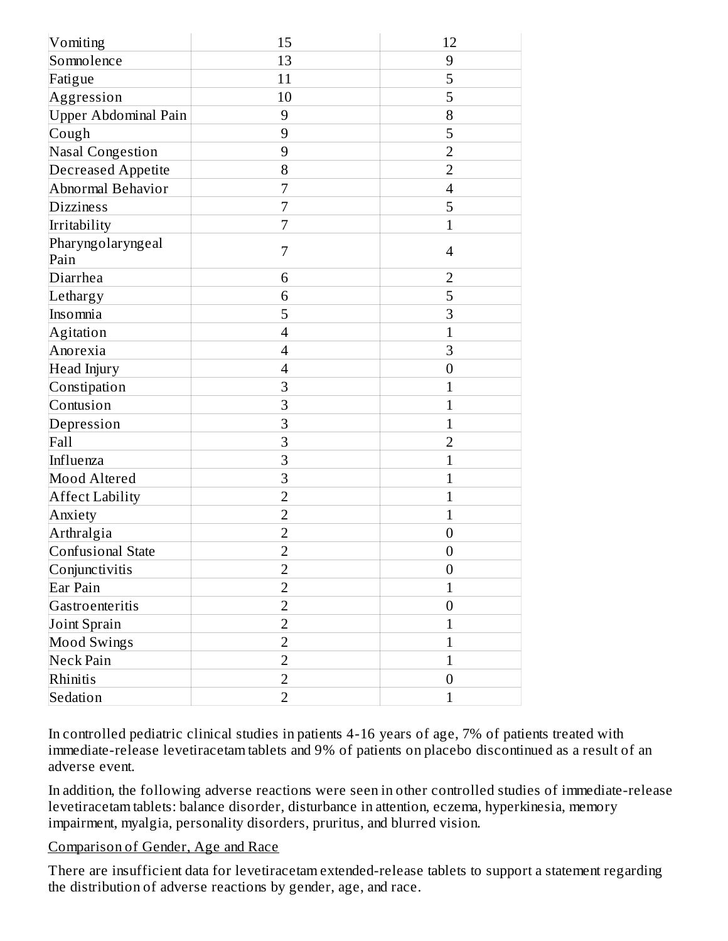| Vomiting                    | 15             | 12               |
|-----------------------------|----------------|------------------|
| Somnolence                  | 13             | 9                |
| Fatigue                     | 11             | 5                |
| Aggression                  | 10             | 5                |
| <b>Upper Abdominal Pain</b> | $\overline{9}$ | 8                |
| Cough                       | 9              | 5                |
| <b>Nasal Congestion</b>     | 9              | $\overline{2}$   |
| <b>Decreased Appetite</b>   | 8              | $\overline{2}$   |
| Abnormal Behavior           | 7              | $\overline{4}$   |
| <b>Dizziness</b>            | 7              | 5                |
| Irritability                | 7              | $\overline{1}$   |
| Pharyngolaryngeal<br>Pain   | 7              | 4                |
| Diarrhea                    | 6              | $\overline{2}$   |
| Lethargy                    | 6              | 5                |
| Insomnia                    | 5              | 3                |
| Agitation                   | $\overline{4}$ | $\mathbf{1}$     |
| Anorexia                    | $\overline{4}$ | 3                |
| Head Injury                 | $\overline{4}$ | $\mathbf{0}$     |
| Constipation                | 3              | $\overline{1}$   |
| Contusion                   | 3              | $\overline{1}$   |
| Depression                  | 3              | $\mathbf{1}$     |
| Fall                        | 3              | $\overline{2}$   |
| Influenza                   | 3              | $\mathbf{1}$     |
| Mood Altered                | 3              | $\overline{1}$   |
| <b>Affect Lability</b>      | $\overline{2}$ | $\mathbf{1}$     |
| Anxiety                     | $\overline{2}$ | $\mathbf{1}$     |
| Arthralgia                  | $\overline{2}$ | $\boldsymbol{0}$ |
| Confusional State           | $\overline{2}$ | $\boldsymbol{0}$ |
| Conjunctivitis              | 2              | $\boldsymbol{0}$ |
| Ear Pain                    | $\overline{2}$ | $\mathbf{1}$     |
| Gastroenteritis             | $\overline{2}$ | $\boldsymbol{0}$ |
| Joint Sprain                | $\overline{2}$ | $\mathbf{1}$     |
| <b>Mood Swings</b>          | $\overline{2}$ | $\mathbf{1}$     |
| Neck Pain                   | $\overline{2}$ | $\mathbf{1}$     |
| Rhinitis                    | $\overline{2}$ | $\boldsymbol{0}$ |
| Sedation                    | $\overline{2}$ | $\mathbf 1$      |

In controlled pediatric clinical studies in patients 4-16 years of age, 7% of patients treated with immediate-release levetiracetam tablets and 9% of patients on placebo discontinued as a result of an adverse event.

In addition, the following adverse reactions were seen in other controlled studies of immediate-release levetiracetam tablets: balance disorder, disturbance in attention, eczema, hyperkinesia, memory impairment, myalgia, personality disorders, pruritus, and blurred vision.

#### Comparison of Gender, Age and Race

There are insufficient data for levetiracetam extended-release tablets to support a statement regarding the distribution of adverse reactions by gender, age, and race.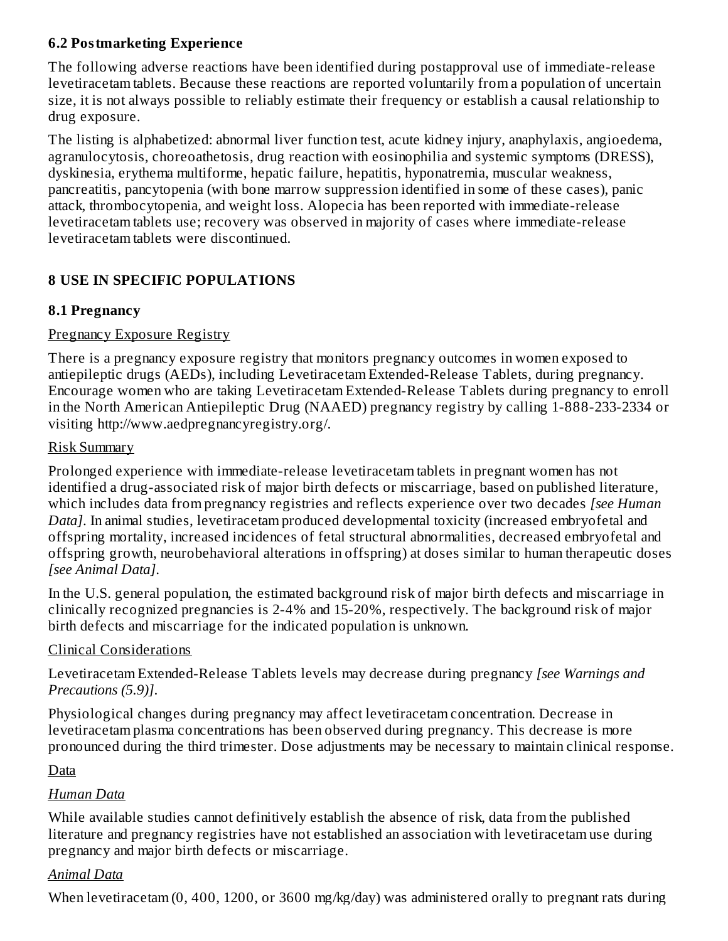### **6.2 Postmarketing Experience**

The following adverse reactions have been identified during postapproval use of immediate-release levetiracetam tablets. Because these reactions are reported voluntarily from a population of uncertain size, it is not always possible to reliably estimate their frequency or establish a causal relationship to drug exposure.

The listing is alphabetized: abnormal liver function test, acute kidney injury, anaphylaxis, angioedema, agranulocytosis, choreoathetosis, drug reaction with eosinophilia and systemic symptoms (DRESS), dyskinesia, erythema multiforme, hepatic failure, hepatitis, hyponatremia, muscular weakness, pancreatitis, pancytopenia (with bone marrow suppression identified in some of these cases), panic attack, thrombocytopenia, and weight loss. Alopecia has been reported with immediate-release levetiracetam tablets use; recovery was observed in majority of cases where immediate-release levetiracetam tablets were discontinued.

## **8 USE IN SPECIFIC POPULATIONS**

### **8.1 Pregnancy**

### Pregnancy Exposure Registry

There is a pregnancy exposure registry that monitors pregnancy outcomes in women exposed to antiepileptic drugs (AEDs), including Levetiracetam Extended-Release Tablets, during pregnancy. Encourage women who are taking Levetiracetam Extended-Release Tablets during pregnancy to enroll in the North American Antiepileptic Drug (NAAED) pregnancy registry by calling 1-888-233-2334 or visiting http://www.aedpregnancyregistry.org/.

### Risk Summary

Prolonged experience with immediate-release levetiracetam tablets in pregnant women has not identified a drug-associated risk of major birth defects or miscarriage, based on published literature, which includes data from pregnancy registries and reflects experience over two decades *[see Human Data]*. In animal studies, levetiracetam produced developmental toxicity (increased embryofetal and offspring mortality, increased incidences of fetal structural abnormalities, decreased embryofetal and offspring growth, neurobehavioral alterations in offspring) at doses similar to human therapeutic doses *[see Animal Data]*.

In the U.S. general population, the estimated background risk of major birth defects and miscarriage in clinically recognized pregnancies is 2-4% and 15-20%, respectively. The background risk of major birth defects and miscarriage for the indicated population is unknown.

## Clinical Considerations

Levetiracetam Extended-Release Tablets levels may decrease during pregnancy *[see Warnings and Precautions (5.9)]*.

Physiological changes during pregnancy may affect levetiracetam concentration. Decrease in levetiracetam plasma concentrations has been observed during pregnancy. This decrease is more pronounced during the third trimester. Dose adjustments may be necessary to maintain clinical response.

## Data

## *Human Data*

While available studies cannot definitively establish the absence of risk, data from the published literature and pregnancy registries have not established an association with levetiracetam use during pregnancy and major birth defects or miscarriage.

## *Animal Data*

When levetiracetam (0, 400, 1200, or 3600 mg/kg/day) was administered orally to pregnant rats during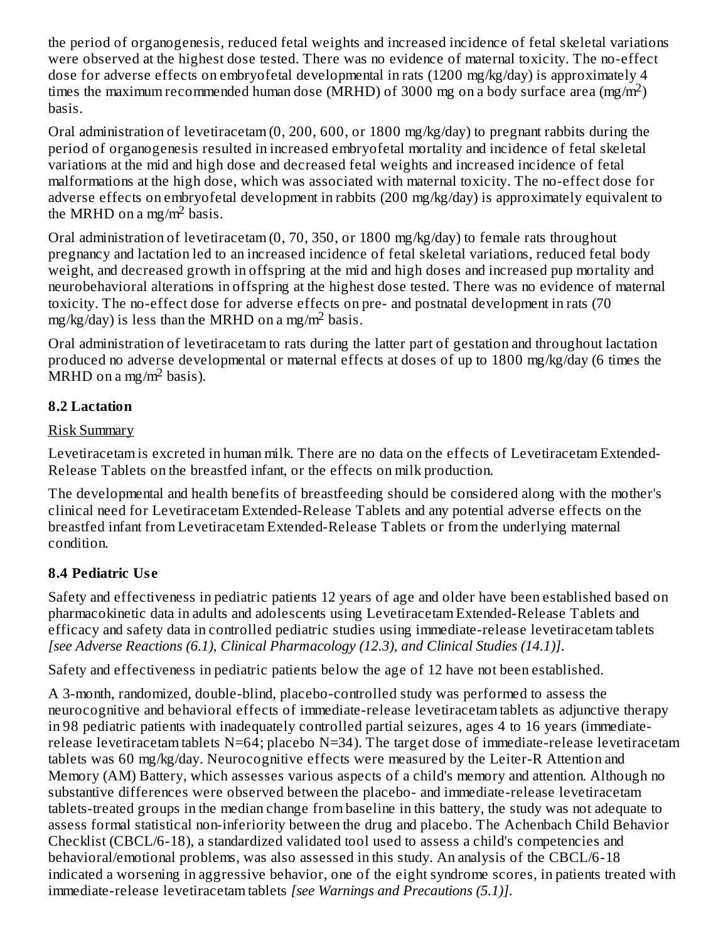the period of organogenesis, reduced fetal weights and increased incidence of fetal skeletal variations were observed at the highest dose tested. There was no evidence of maternal toxicity. The no-effect dose for adverse effects on embryofetal developmental in rats (1200 mg/kg/day) is approximately 4 times the maximum recommended human dose (MRHD) of 3000 mg on a body surface area (mg/m<sup>2</sup>) basis.

Oral administration of levetiracetam (0, 200, 600, or 1800 mg/kg/day) to pregnant rabbits during the period of organogenesis resulted in increased embryofetal mortality and incidence of fetal skeletal variations at the mid and high dose and decreased fetal weights and increased incidence of fetal malformations at the high dose, which was associated with maternal toxicity. The no-effect dose for adverse effects on embryofetal development in rabbits (200 mg/kg/day) is approximately equivalent to the MRHD on a mg/m<sup>2</sup> basis.

Oral administration of levetiracetam (0, 70, 350, or 1800 mg/kg/day) to female rats throughout pregnancy and lactation led to an increased incidence of fetal skeletal variations, reduced fetal body weight, and decreased growth in offspring at the mid and high doses and increased pup mortality and neurobehavioral alterations in offspring at the highest dose tested. There was no evidence of maternal toxicity. The no-effect dose for adverse effects on pre- and postnatal development in rats (70 mg/kg/day) is less than the MRHD on a mg/m<sup>2</sup> basis.

Oral administration of levetiracetam to rats during the latter part of gestation and throughout lactation produced no adverse developmental or maternal effects at doses of up to 1800 mg/kg/day (6 times the  $MRHD$  on a mg/m<sup>2</sup> basis).

## **8.2 Lactation**

## Risk Summary

Levetiracetam is excreted in human milk. There are no data on the effects of Levetiracetam Extended-Release Tablets on the breastfed infant, or the effects on milk production.

The developmental and health benefits of breastfeeding should be considered along with the mother's clinical need for Levetiracetam Extended-Release Tablets and any potential adverse effects on the breastfed infant from Levetiracetam Extended-Release Tablets or from the underlying maternal condition.

## **8.4 Pediatric Us e**

Safety and effectiveness in pediatric patients 12 years of age and older have been established based on pharmacokinetic data in adults and adolescents using Levetiracetam Extended-Release Tablets and efficacy and safety data in controlled pediatric studies using immediate-release levetiracetam tablets *[see Adverse Reactions (6.1), Clinical Pharmacology (12.3), and Clinical Studies (14.1)]*.

Safety and effectiveness in pediatric patients below the age of 12 have not been established.

A 3-month, randomized, double-blind, placebo-controlled study was performed to assess the neurocognitive and behavioral effects of immediate-release levetiracetam tablets as adjunctive therapy in 98 pediatric patients with inadequately controlled partial seizures, ages 4 to 16 years (immediaterelease levetiracetam tablets N=64; placebo N=34). The target dose of immediate-release levetiracetam tablets was 60 mg/kg/day. Neurocognitive effects were measured by the Leiter-R Attention and Memory (AM) Battery, which assesses various aspects of a child's memory and attention. Although no substantive differences were observed between the placebo- and immediate-release levetiracetam tablets-treated groups in the median change from baseline in this battery, the study was not adequate to assess formal statistical non-inferiority between the drug and placebo. The Achenbach Child Behavior Checklist (CBCL/6-18), a standardized validated tool used to assess a child's competencies and behavioral/emotional problems, was also assessed in this study. An analysis of the CBCL/6-18 indicated a worsening in aggressive behavior, one of the eight syndrome scores, in patients treated with immediate-release levetiracetam tablets *[see Warnings and Precautions (5.1)]*.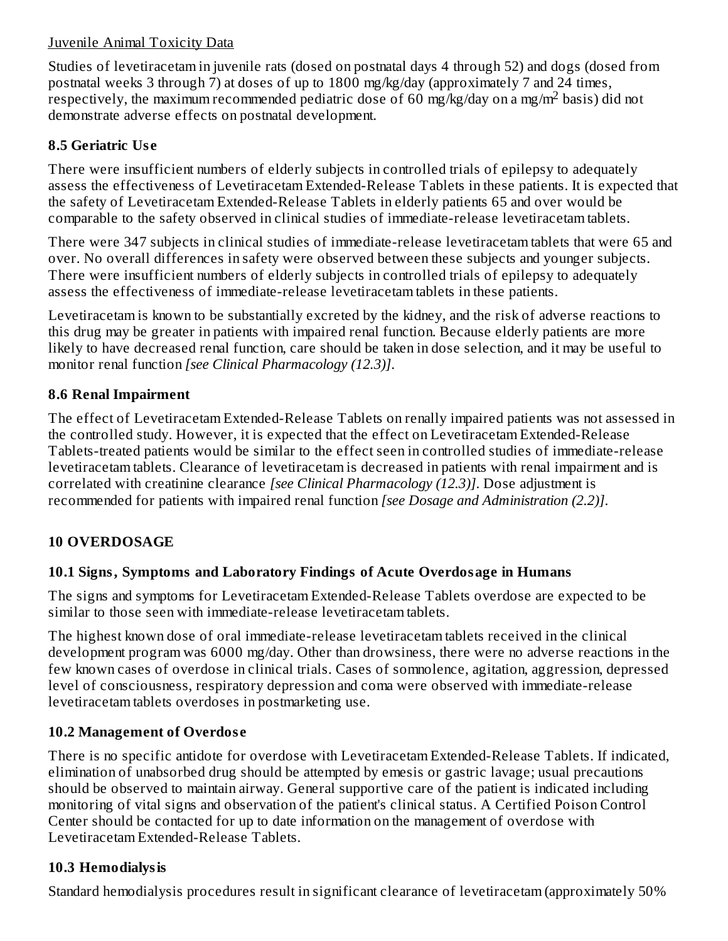### Juvenile Animal Toxicity Data

Studies of levetiracetam in juvenile rats (dosed on postnatal days 4 through 52) and dogs (dosed from postnatal weeks 3 through 7) at doses of up to 1800 mg/kg/day (approximately 7 and 24 times, respectively, the maximum recommended pediatric dose of 60 mg/kg/day on a mg/m<sup>2</sup> basis) did not demonstrate adverse effects on postnatal development.

### **8.5 Geriatric Us e**

There were insufficient numbers of elderly subjects in controlled trials of epilepsy to adequately assess the effectiveness of Levetiracetam Extended-Release Tablets in these patients. It is expected that the safety of Levetiracetam Extended-Release Tablets in elderly patients 65 and over would be comparable to the safety observed in clinical studies of immediate-release levetiracetam tablets.

There were 347 subjects in clinical studies of immediate-release levetiracetam tablets that were 65 and over. No overall differences in safety were observed between these subjects and younger subjects. There were insufficient numbers of elderly subjects in controlled trials of epilepsy to adequately assess the effectiveness of immediate-release levetiracetam tablets in these patients.

Levetiracetam is known to be substantially excreted by the kidney, and the risk of adverse reactions to this drug may be greater in patients with impaired renal function. Because elderly patients are more likely to have decreased renal function, care should be taken in dose selection, and it may be useful to monitor renal function *[see Clinical Pharmacology (12.3)]*.

### **8.6 Renal Impairment**

The effect of Levetiracetam Extended-Release Tablets on renally impaired patients was not assessed in the controlled study. However, it is expected that the effect on Levetiracetam Extended-Release Tablets-treated patients would be similar to the effect seen in controlled studies of immediate-release levetiracetam tablets. Clearance of levetiracetam is decreased in patients with renal impairment and is correlated with creatinine clearance *[see Clinical Pharmacology (12.3)]*. Dose adjustment is recommended for patients with impaired renal function *[see Dosage and Administration (2.2)]*.

## **10 OVERDOSAGE**

## **10.1 Signs, Symptoms and Laboratory Findings of Acute Overdosage in Humans**

The signs and symptoms for Levetiracetam Extended-Release Tablets overdose are expected to be similar to those seen with immediate-release levetiracetam tablets.

The highest known dose of oral immediate-release levetiracetam tablets received in the clinical development program was 6000 mg/day. Other than drowsiness, there were no adverse reactions in the few known cases of overdose in clinical trials. Cases of somnolence, agitation, aggression, depressed level of consciousness, respiratory depression and coma were observed with immediate-release levetiracetam tablets overdoses in postmarketing use.

## **10.2 Management of Overdos e**

There is no specific antidote for overdose with Levetiracetam Extended-Release Tablets. If indicated, elimination of unabsorbed drug should be attempted by emesis or gastric lavage; usual precautions should be observed to maintain airway. General supportive care of the patient is indicated including monitoring of vital signs and observation of the patient's clinical status. A Certified Poison Control Center should be contacted for up to date information on the management of overdose with Levetiracetam Extended-Release Tablets.

## **10.3 Hemodialysis**

Standard hemodialysis procedures result in significant clearance of levetiracetam (approximately 50%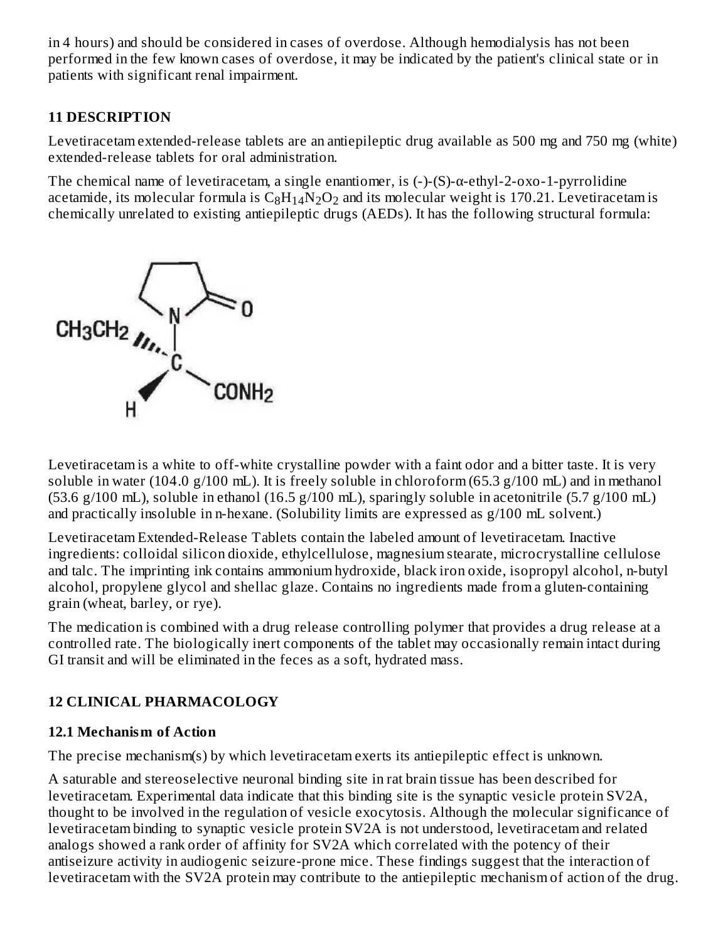in 4 hours) and should be considered in cases of overdose. Although hemodialysis has not been performed in the few known cases of overdose, it may be indicated by the patient's clinical state or in patients with significant renal impairment.

## **11 DESCRIPTION**

Levetiracetam extended-release tablets are an antiepileptic drug available as 500 mg and 750 mg (white) extended-release tablets for oral administration.

The chemical name of levetiracetam, a single enantiomer, is (-)-(S)-α-ethyl-2-oxo-1-pyrrolidine acetamide, its molecular formula is  $\rm{C_8H_{14}N_2O_2}$  and its molecular weight is 170.21. Levetiracetam is chemically unrelated to existing antiepileptic drugs (AEDs). It has the following structural formula:



Levetiracetam is a white to off-white crystalline powder with a faint odor and a bitter taste. It is very soluble in water (104.0 g/100 mL). It is freely soluble in chloroform (65.3 g/100 mL) and in methanol (53.6 g/100 mL), soluble in ethanol (16.5 g/100 mL), sparingly soluble in acetonitrile (5.7 g/100 mL) and practically insoluble in n-hexane. (Solubility limits are expressed as g/100 mL solvent.)

Levetiracetam Extended-Release Tablets contain the labeled amount of levetiracetam. Inactive ingredients: colloidal silicon dioxide, ethylcellulose, magnesium stearate, microcrystalline cellulose and talc. The imprinting ink contains ammonium hydroxide, black iron oxide, isopropyl alcohol, n-butyl alcohol, propylene glycol and shellac glaze. Contains no ingredients made from a gluten-containing grain (wheat, barley, or rye).

The medication is combined with a drug release controlling polymer that provides a drug release at a controlled rate. The biologically inert components of the tablet may occasionally remain intact during GI transit and will be eliminated in the feces as a soft, hydrated mass.

## **12 CLINICAL PHARMACOLOGY**

## **12.1 Mechanism of Action**

The precise mechanism(s) by which levetiracetam exerts its antiepileptic effect is unknown.

A saturable and stereoselective neuronal binding site in rat brain tissue has been described for levetiracetam. Experimental data indicate that this binding site is the synaptic vesicle protein SV2A, thought to be involved in the regulation of vesicle exocytosis. Although the molecular significance of levetiracetam binding to synaptic vesicle protein SV2A is not understood, levetiracetam and related analogs showed a rank order of affinity for SV2A which correlated with the potency of their antiseizure activity in audiogenic seizure-prone mice. These findings suggest that the interaction of levetiracetam with the SV2A protein may contribute to the antiepileptic mechanism of action of the drug.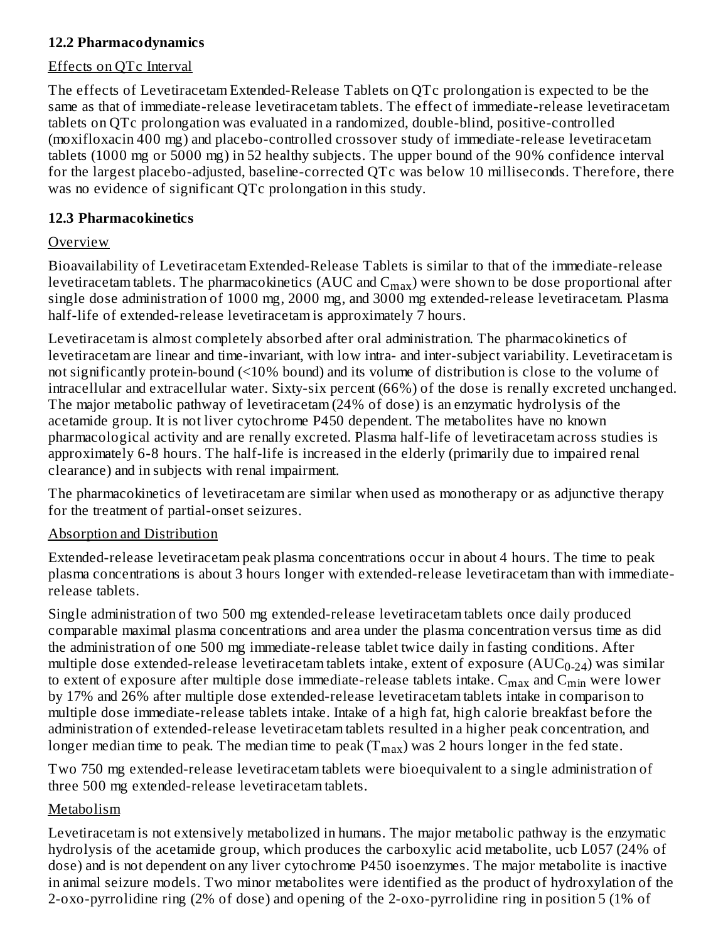### **12.2 Pharmacodynamics**

### Effects on QTc Interval

The effects of Levetiracetam Extended-Release Tablets on QTc prolongation is expected to be the same as that of immediate-release levetiracetam tablets. The effect of immediate-release levetiracetam tablets on QTc prolongation was evaluated in a randomized, double-blind, positive-controlled (moxifloxacin 400 mg) and placebo-controlled crossover study of immediate-release levetiracetam tablets (1000 mg or 5000 mg) in 52 healthy subjects. The upper bound of the 90% confidence interval for the largest placebo-adjusted, baseline-corrected QTc was below 10 milliseconds. Therefore, there was no evidence of significant QTc prolongation in this study.

### **12.3 Pharmacokinetics**

### Overview

Bioavailability of Levetiracetam Extended-Release Tablets is similar to that of the immediate-release levetiracetam tablets. The pharmacokinetics (AUC and  $\mathsf{C}_{\mathsf{max}}$ ) were shown to be dose proportional after single dose administration of 1000 mg, 2000 mg, and 3000 mg extended-release levetiracetam. Plasma half-life of extended-release levetiracetam is approximately 7 hours.

Levetiracetam is almost completely absorbed after oral administration. The pharmacokinetics of levetiracetam are linear and time-invariant, with low intra- and inter-subject variability. Levetiracetam is not significantly protein-bound (<10% bound) and its volume of distribution is close to the volume of intracellular and extracellular water. Sixty-six percent (66%) of the dose is renally excreted unchanged. The major metabolic pathway of levetiracetam (24% of dose) is an enzymatic hydrolysis of the acetamide group. It is not liver cytochrome P450 dependent. The metabolites have no known pharmacological activity and are renally excreted. Plasma half-life of levetiracetam across studies is approximately 6-8 hours. The half-life is increased in the elderly (primarily due to impaired renal clearance) and in subjects with renal impairment.

The pharmacokinetics of levetiracetam are similar when used as monotherapy or as adjunctive therapy for the treatment of partial-onset seizures.

## Absorption and Distribution

Extended-release levetiracetam peak plasma concentrations occur in about 4 hours. The time to peak plasma concentrations is about 3 hours longer with extended-release levetiracetam than with immediaterelease tablets.

Single administration of two 500 mg extended-release levetiracetam tablets once daily produced comparable maximal plasma concentrations and area under the plasma concentration versus time as did the administration of one 500 mg immediate-release tablet twice daily in fasting conditions. After multiple dose extended-release levetiracetam tablets intake, extent of exposure ( $\mathrm{AUC_{0\text{-}24}}$ ) was similar to extent of exposure after multiple dose immediate-release tablets intake.  $\rm{C_{max}}$  and  $\rm{C_{min}}$  were lower by 17% and 26% after multiple dose extended-release levetiracetam tablets intake in comparison to multiple dose immediate-release tablets intake. Intake of a high fat, high calorie breakfast before the administration of extended-release levetiracetam tablets resulted in a higher peak concentration, and longer median time to peak. The median time to peak (T $_{\rm max}$ ) was 2 hours longer in the fed state.

Two 750 mg extended-release levetiracetam tablets were bioequivalent to a single administration of three 500 mg extended-release levetiracetam tablets.

## Metabolism

Levetiracetam is not extensively metabolized in humans. The major metabolic pathway is the enzymatic hydrolysis of the acetamide group, which produces the carboxylic acid metabolite, ucb L057 (24% of dose) and is not dependent on any liver cytochrome P450 isoenzymes. The major metabolite is inactive in animal seizure models. Two minor metabolites were identified as the product of hydroxylation of the 2-oxo-pyrrolidine ring (2% of dose) and opening of the 2-oxo-pyrrolidine ring in position 5 (1% of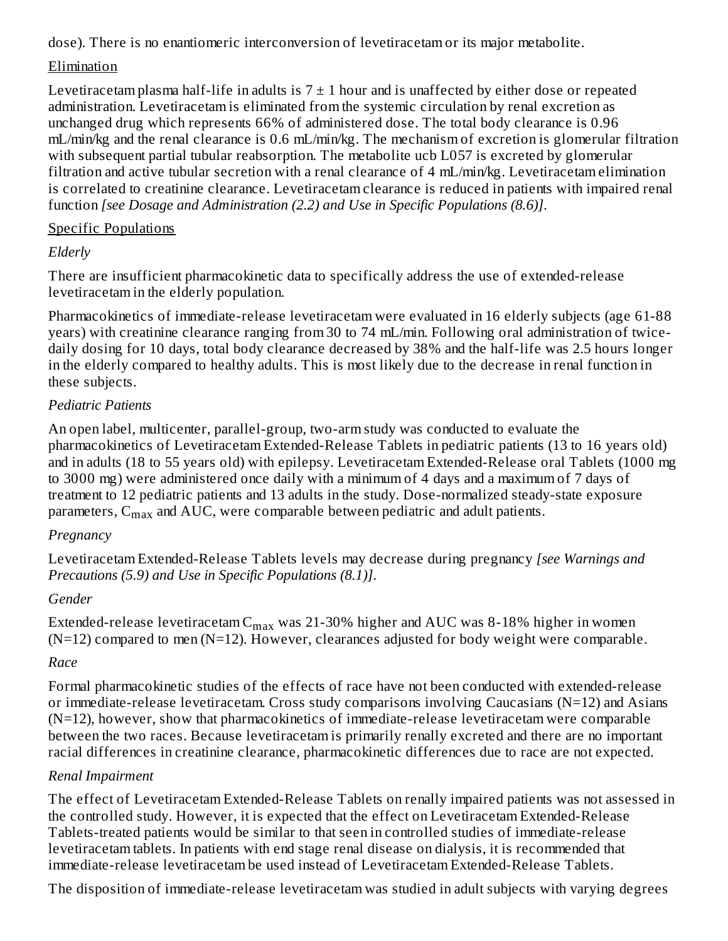dose). There is no enantiomeric interconversion of levetiracetam or its major metabolite.

## Elimination

Levetiracetam plasma half-life in adults is  $7 \pm 1$  hour and is unaffected by either dose or repeated administration. Levetiracetam is eliminated from the systemic circulation by renal excretion as unchanged drug which represents 66% of administered dose. The total body clearance is 0.96 mL/min/kg and the renal clearance is 0.6 mL/min/kg. The mechanism of excretion is glomerular filtration with subsequent partial tubular reabsorption. The metabolite ucb L057 is excreted by glomerular filtration and active tubular secretion with a renal clearance of 4 mL/min/kg. Levetiracetam elimination is correlated to creatinine clearance. Levetiracetam clearance is reduced in patients with impaired renal function *[see Dosage and Administration (2.2) and Use in Specific Populations (8.6)]*.

## Specific Populations

## *Elderly*

There are insufficient pharmacokinetic data to specifically address the use of extended-release levetiracetam in the elderly population.

Pharmacokinetics of immediate-release levetiracetam were evaluated in 16 elderly subjects (age 61-88 years) with creatinine clearance ranging from 30 to 74 mL/min. Following oral administration of twicedaily dosing for 10 days, total body clearance decreased by 38% and the half-life was 2.5 hours longer in the elderly compared to healthy adults. This is most likely due to the decrease in renal function in these subjects.

## *Pediatric Patients*

An open label, multicenter, parallel-group, two-arm study was conducted to evaluate the pharmacokinetics of Levetiracetam Extended-Release Tablets in pediatric patients (13 to 16 years old) and in adults (18 to 55 years old) with epilepsy. Levetiracetam Extended-Release oral Tablets (1000 mg to 3000 mg) were administered once daily with a minimum of 4 days and a maximum of 7 days of treatment to 12 pediatric patients and 13 adults in the study. Dose-normalized steady-state exposure parameters,  $\mathsf{C}_{\max}$  and AUC, were comparable between pediatric and adult patients.

## *Pregnancy*

Levetiracetam Extended-Release Tablets levels may decrease during pregnancy *[see Warnings and Precautions (5.9) and Use in Specific Populations (8.1)]*.

## *Gender*

Extended-release levetiracetam $\rm C_{max}$  was 21-30% higher and AUC was 8-18% higher in women  $(N=12)$  compared to men  $(N=12)$ . However, clearances adjusted for body weight were comparable.

## *Race*

Formal pharmacokinetic studies of the effects of race have not been conducted with extended-release or immediate-release levetiracetam. Cross study comparisons involving Caucasians (N=12) and Asians (N=12), however, show that pharmacokinetics of immediate-release levetiracetam were comparable between the two races. Because levetiracetam is primarily renally excreted and there are no important racial differences in creatinine clearance, pharmacokinetic differences due to race are not expected.

## *Renal Impairment*

The effect of Levetiracetam Extended-Release Tablets on renally impaired patients was not assessed in the controlled study. However, it is expected that the effect on Levetiracetam Extended-Release Tablets-treated patients would be similar to that seen in controlled studies of immediate-release levetiracetam tablets. In patients with end stage renal disease on dialysis, it is recommended that immediate-release levetiracetam be used instead of Levetiracetam Extended-Release Tablets.

The disposition of immediate-release levetiracetam was studied in adult subjects with varying degrees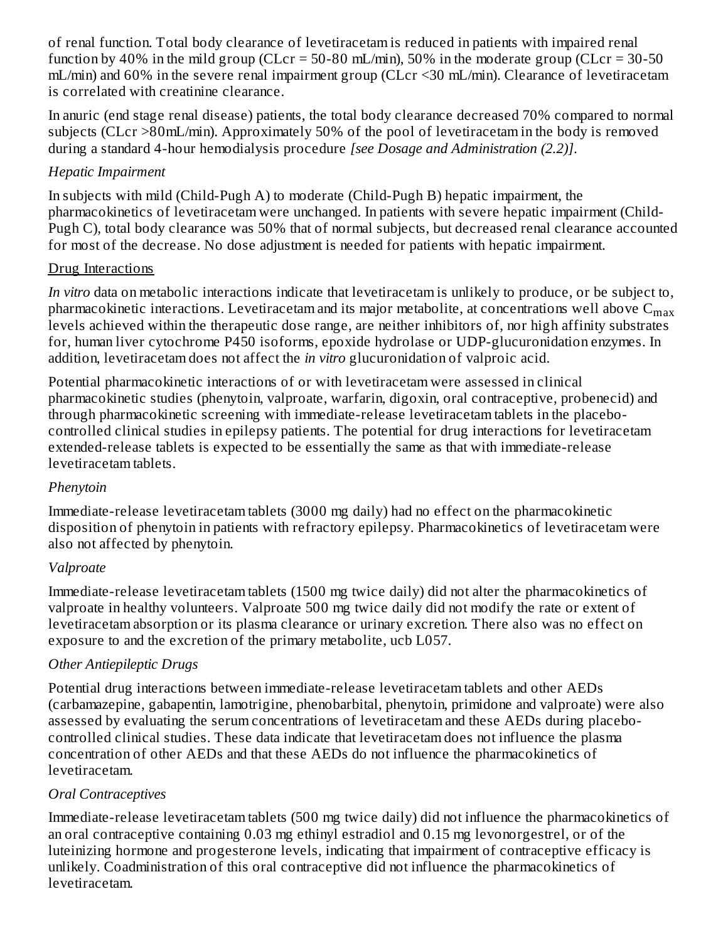of renal function. Total body clearance of levetiracetam is reduced in patients with impaired renal function by 40% in the mild group (CLcr = 50-80 mL/min), 50% in the moderate group (CLcr = 30-50 mL/min) and 60% in the severe renal impairment group (CLcr <30 mL/min). Clearance of levetiracetam is correlated with creatinine clearance.

In anuric (end stage renal disease) patients, the total body clearance decreased 70% compared to normal subjects (CLcr >80mL/min). Approximately 50% of the pool of levetiracetam in the body is removed during a standard 4-hour hemodialysis procedure *[see Dosage and Administration (2.2)]*.

### *Hepatic Impairment*

In subjects with mild (Child-Pugh A) to moderate (Child-Pugh B) hepatic impairment, the pharmacokinetics of levetiracetam were unchanged. In patients with severe hepatic impairment (Child-Pugh C), total body clearance was 50% that of normal subjects, but decreased renal clearance accounted for most of the decrease. No dose adjustment is needed for patients with hepatic impairment.

### Drug Interactions

*In vitro* data on metabolic interactions indicate that levetiracetam is unlikely to produce, or be subject to, pharmacokinetic interactions. Levetiracetam and its major metabolite, at concentrations well above  $\mathsf{C}_{\max}$ levels achieved within the therapeutic dose range, are neither inhibitors of, nor high affinity substrates for, human liver cytochrome P450 isoforms, epoxide hydrolase or UDP-glucuronidation enzymes. In addition, levetiracetam does not affect the *in vitro* glucuronidation of valproic acid.

Potential pharmacokinetic interactions of or with levetiracetam were assessed in clinical pharmacokinetic studies (phenytoin, valproate, warfarin, digoxin, oral contraceptive, probenecid) and through pharmacokinetic screening with immediate-release levetiracetam tablets in the placebocontrolled clinical studies in epilepsy patients. The potential for drug interactions for levetiracetam extended-release tablets is expected to be essentially the same as that with immediate-release levetiracetam tablets.

## *Phenytoin*

Immediate-release levetiracetam tablets (3000 mg daily) had no effect on the pharmacokinetic disposition of phenytoin in patients with refractory epilepsy. Pharmacokinetics of levetiracetam were also not affected by phenytoin.

## *Valproate*

Immediate-release levetiracetam tablets (1500 mg twice daily) did not alter the pharmacokinetics of valproate in healthy volunteers. Valproate 500 mg twice daily did not modify the rate or extent of levetiracetam absorption or its plasma clearance or urinary excretion. There also was no effect on exposure to and the excretion of the primary metabolite, ucb L057.

## *Other Antiepileptic Drugs*

Potential drug interactions between immediate-release levetiracetam tablets and other AEDs (carbamazepine, gabapentin, lamotrigine, phenobarbital, phenytoin, primidone and valproate) were also assessed by evaluating the serum concentrations of levetiracetam and these AEDs during placebocontrolled clinical studies. These data indicate that levetiracetam does not influence the plasma concentration of other AEDs and that these AEDs do not influence the pharmacokinetics of levetiracetam.

## *Oral Contraceptives*

Immediate-release levetiracetam tablets (500 mg twice daily) did not influence the pharmacokinetics of an oral contraceptive containing 0.03 mg ethinyl estradiol and 0.15 mg levonorgestrel, or of the luteinizing hormone and progesterone levels, indicating that impairment of contraceptive efficacy is unlikely. Coadministration of this oral contraceptive did not influence the pharmacokinetics of levetiracetam.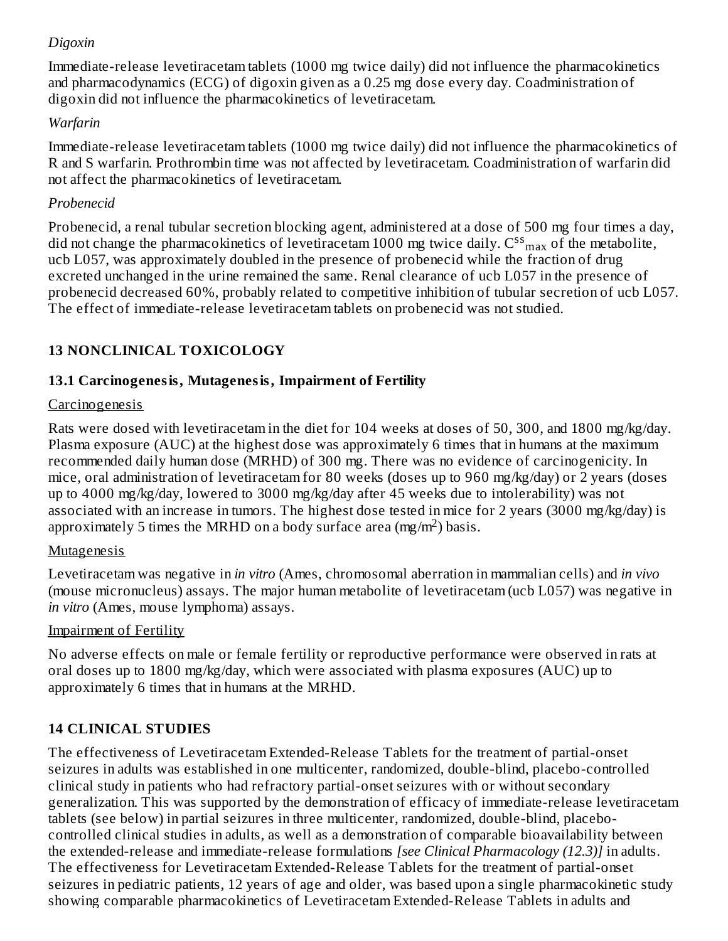## *Digoxin*

Immediate-release levetiracetam tablets (1000 mg twice daily) did not influence the pharmacokinetics and pharmacodynamics (ECG) of digoxin given as a 0.25 mg dose every day. Coadministration of digoxin did not influence the pharmacokinetics of levetiracetam.

## *Warfarin*

Immediate-release levetiracetam tablets (1000 mg twice daily) did not influence the pharmacokinetics of R and S warfarin. Prothrombin time was not affected by levetiracetam. Coadministration of warfarin did not affect the pharmacokinetics of levetiracetam.

## *Probenecid*

Probenecid, a renal tubular secretion blocking agent, administered at a dose of 500 mg four times a day, did not change the pharmacokinetics of levetiracetam 1000 mg twice daily.  $\text{C}^{\text{ss}}{}_{\text{max}}$  of the metabolite, ucb L057, was approximately doubled in the presence of probenecid while the fraction of drug excreted unchanged in the urine remained the same. Renal clearance of ucb L057 in the presence of probenecid decreased 60%, probably related to competitive inhibition of tubular secretion of ucb L057. The effect of immediate-release levetiracetam tablets on probenecid was not studied.

## **13 NONCLINICAL TOXICOLOGY**

## **13.1 Carcinogenesis, Mutagenesis, Impairment of Fertility**

## **Carcinogenesis**

Rats were dosed with levetiracetam in the diet for 104 weeks at doses of 50, 300, and 1800 mg/kg/day. Plasma exposure (AUC) at the highest dose was approximately 6 times that in humans at the maximum recommended daily human dose (MRHD) of 300 mg. There was no evidence of carcinogenicity. In mice, oral administration of levetiracetam for 80 weeks (doses up to 960 mg/kg/day) or 2 years (doses up to 4000 mg/kg/day, lowered to 3000 mg/kg/day after 45 weeks due to intolerability) was not associated with an increase in tumors. The highest dose tested in mice for 2 years (3000 mg/kg/day) is approximately 5 times the MRHD on a body surface area  $(mg/m<sup>2</sup>)$  basis.

## Mutagenesis

Levetiracetam was negative in *in vitro* (Ames, chromosomal aberration in mammalian cells) and *in vivo* (mouse micronucleus) assays. The major human metabolite of levetiracetam (ucb L057) was negative in *in vitro* (Ames, mouse lymphoma) assays.

## Impairment of Fertility

No adverse effects on male or female fertility or reproductive performance were observed in rats at oral doses up to 1800 mg/kg/day, which were associated with plasma exposures (AUC) up to approximately 6 times that in humans at the MRHD.

## **14 CLINICAL STUDIES**

The effectiveness of Levetiracetam Extended-Release Tablets for the treatment of partial-onset seizures in adults was established in one multicenter, randomized, double-blind, placebo-controlled clinical study in patients who had refractory partial-onset seizures with or without secondary generalization. This was supported by the demonstration of efficacy of immediate-release levetiracetam tablets (see below) in partial seizures in three multicenter, randomized, double-blind, placebocontrolled clinical studies in adults, as well as a demonstration of comparable bioavailability between the extended-release and immediate-release formulations *[see Clinical Pharmacology (12.3)]* in adults. The effectiveness for Levetiracetam Extended-Release Tablets for the treatment of partial-onset seizures in pediatric patients, 12 years of age and older, was based upon a single pharmacokinetic study showing comparable pharmacokinetics of Levetiracetam Extended-Release Tablets in adults and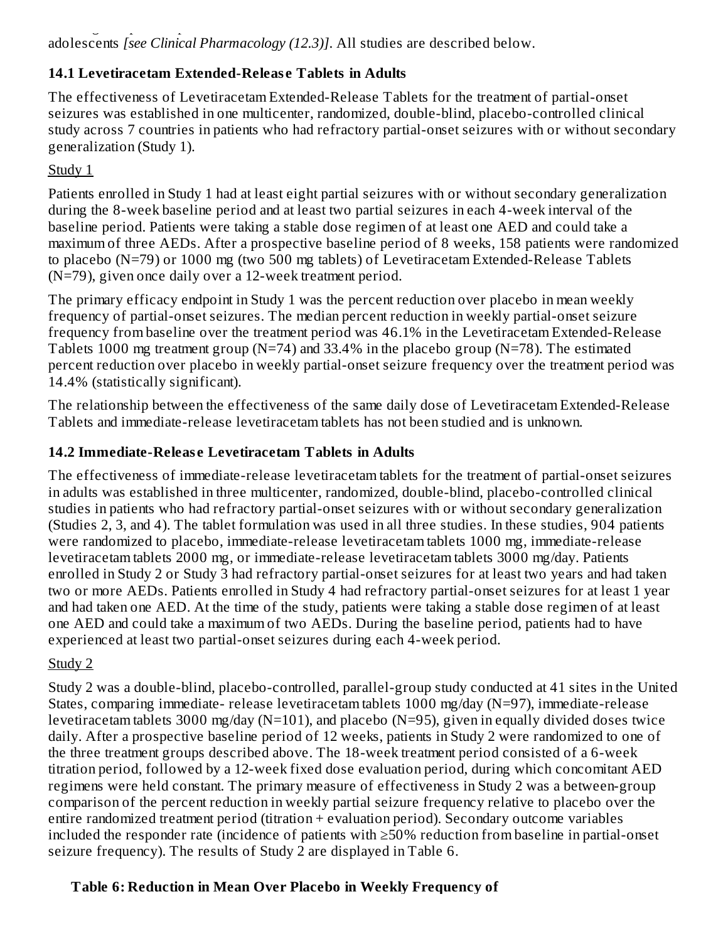## **14.1 Levetiracetam Extended-Releas e Tablets in Adults**

The effectiveness of Levetiracetam Extended-Release Tablets for the treatment of partial-onset seizures was established in one multicenter, randomized, double-blind, placebo-controlled clinical study across 7 countries in patients who had refractory partial-onset seizures with or without secondary generalization (Study 1).

## Study 1

Patients enrolled in Study 1 had at least eight partial seizures with or without secondary generalization during the 8-week baseline period and at least two partial seizures in each 4-week interval of the baseline period. Patients were taking a stable dose regimen of at least one AED and could take a maximum of three AEDs. After a prospective baseline period of 8 weeks, 158 patients were randomized to placebo (N=79) or 1000 mg (two 500 mg tablets) of Levetiracetam Extended-Release Tablets (N=79), given once daily over a 12-week treatment period.

The primary efficacy endpoint in Study 1 was the percent reduction over placebo in mean weekly frequency of partial-onset seizures. The median percent reduction in weekly partial-onset seizure frequency from baseline over the treatment period was 46.1% in the Levetiracetam Extended-Release Tablets 1000 mg treatment group ( $N=74$ ) and 33.4% in the placebo group ( $N=78$ ). The estimated percent reduction over placebo in weekly partial-onset seizure frequency over the treatment period was 14.4% (statistically significant).

The relationship between the effectiveness of the same daily dose of Levetiracetam Extended-Release Tablets and immediate-release levetiracetam tablets has not been studied and is unknown.

## **14.2 Immediate-Releas e Levetiracetam Tablets in Adults**

The effectiveness of immediate-release levetiracetam tablets for the treatment of partial-onset seizures in adults was established in three multicenter, randomized, double-blind, placebo-controlled clinical studies in patients who had refractory partial-onset seizures with or without secondary generalization (Studies 2, 3, and 4). The tablet formulation was used in all three studies. In these studies, 904 patients were randomized to placebo, immediate-release levetiracetam tablets 1000 mg, immediate-release levetiracetam tablets 2000 mg, or immediate-release levetiracetam tablets 3000 mg/day. Patients enrolled in Study 2 or Study 3 had refractory partial-onset seizures for at least two years and had taken two or more AEDs. Patients enrolled in Study 4 had refractory partial-onset seizures for at least 1 year and had taken one AED. At the time of the study, patients were taking a stable dose regimen of at least one AED and could take a maximum of two AEDs. During the baseline period, patients had to have experienced at least two partial-onset seizures during each 4-week period.

## Study 2

Study 2 was a double-blind, placebo-controlled, parallel-group study conducted at 41 sites in the United States, comparing immediate- release levetiracetam tablets 1000 mg/day (N=97), immediate-release levetiracetam tablets 3000 mg/day (N=101), and placebo (N=95), given in equally divided doses twice daily. After a prospective baseline period of 12 weeks, patients in Study 2 were randomized to one of the three treatment groups described above. The 18-week treatment period consisted of a 6-week titration period, followed by a 12-week fixed dose evaluation period, during which concomitant AED regimens were held constant. The primary measure of effectiveness in Study 2 was a between-group comparison of the percent reduction in weekly partial seizure frequency relative to placebo over the entire randomized treatment period (titration + evaluation period). Secondary outcome variables included the responder rate (incidence of patients with ≥50% reduction from baseline in partial-onset seizure frequency). The results of Study 2 are displayed in Table 6.

## **Table 6: Reduction in Mean Over Placebo in Weekly Frequency of**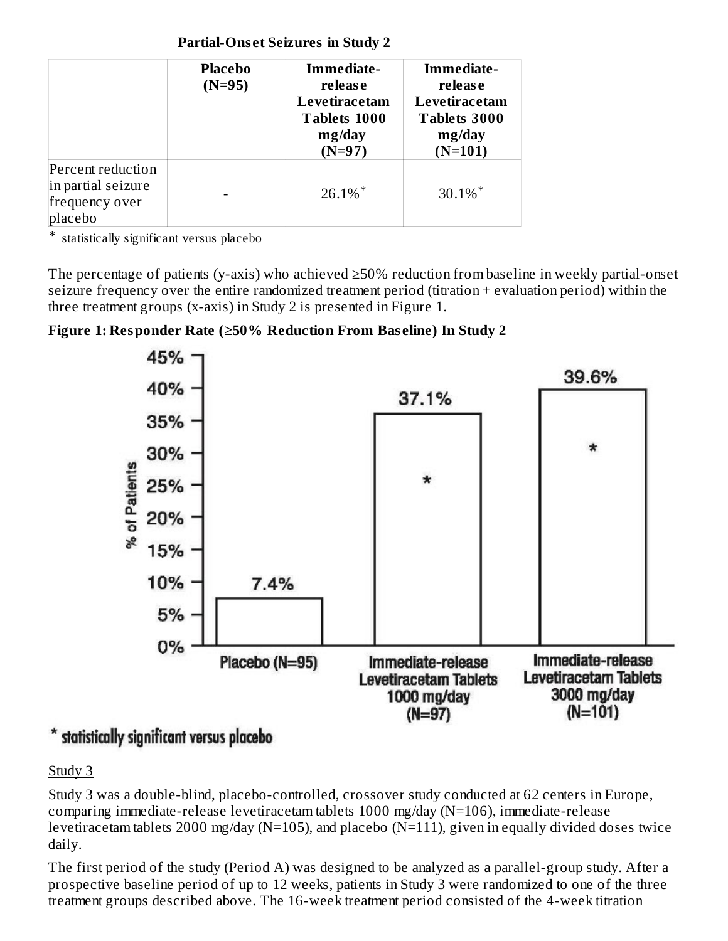**Partial-Ons et Seizures in Study 2**

|                                                                      | <b>Placebo</b><br>$(N=95)$ | Immediate-<br>release<br>Levetiracetam<br><b>Tablets 1000</b><br>mg/day<br>$(N=97)$ | Immediate-<br>release<br>Levetiracetam<br><b>Tablets 3000</b><br>mg/day<br>$(N=101)$ |
|----------------------------------------------------------------------|----------------------------|-------------------------------------------------------------------------------------|--------------------------------------------------------------------------------------|
| Percent reduction<br>in partial seizure<br>frequency over<br>placebo |                            | $26.1\%$ *                                                                          | $30.1\%$ *                                                                           |

\* statistically significant versus placebo

The percentage of patients (y-axis) who achieved ≥50% reduction from baseline in weekly partial-onset seizure frequency over the entire randomized treatment period (titration + evaluation period) within the three treatment groups (x-axis) in Study 2 is presented in Figure 1.

## **Figure 1: Responder Rate (≥50% Reduction From Bas eline) In Study 2**



## statistically significant versus placebo

## Study 3

Study 3 was a double-blind, placebo-controlled, crossover study conducted at 62 centers in Europe, comparing immediate-release levetiracetam tablets 1000 mg/day (N=106), immediate-release levetiracetam tablets 2000 mg/day (N=105), and placebo (N=111), given in equally divided doses twice daily.

The first period of the study (Period A) was designed to be analyzed as a parallel-group study. After a prospective baseline period of up to 12 weeks, patients in Study 3 were randomized to one of the three treatment groups described above. The 16-week treatment period consisted of the 4-week titration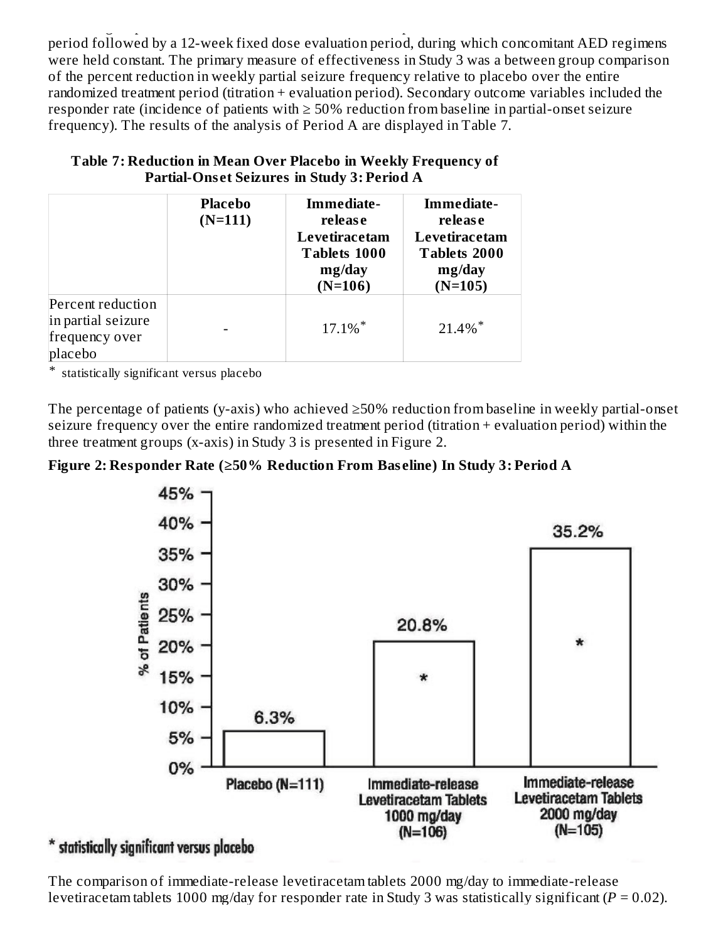treatment groups described above. The 16-week treatment period consisted of the 4-week titration period followed by a 12-week fixed dose evaluation period, during which concomitant AED regimens were held constant. The primary measure of effectiveness in Study 3 was a between group comparison of the percent reduction in weekly partial seizure frequency relative to placebo over the entire randomized treatment period (titration + evaluation period). Secondary outcome variables included the responder rate (incidence of patients with  $\geq$  50% reduction from baseline in partial-onset seizure frequency). The results of the analysis of Period A are displayed in Table 7.

|                                                                      | <b>Placebo</b><br>$(N=111)$ | Immediate-<br>release<br>Levetiracetam<br><b>Tablets 1000</b><br>mg/day<br>$(N=106)$ | Immediate-<br>release<br>Levetiracetam<br>Tablets 2000<br>mg/day<br>$(N=105)$ |
|----------------------------------------------------------------------|-----------------------------|--------------------------------------------------------------------------------------|-------------------------------------------------------------------------------|
| Percent reduction<br>in partial seizure<br>frequency over<br>placebo |                             | $17.1\%$ <sup>*</sup>                                                                | $21.4\%$ *                                                                    |

## **Table 7: Reduction in Mean Over Placebo in Weekly Frequency of Partial-Ons et Seizures in Study 3: Period A**

\* statistically significant versus placebo

The percentage of patients (y-axis) who achieved ≥50% reduction from baseline in weekly partial-onset seizure frequency over the entire randomized treatment period (titration + evaluation period) within the three treatment groups (x-axis) in Study 3 is presented in Figure 2.





## \* statistically significant versus placebo

The comparison of immediate-release levetiracetam tablets 2000 mg/day to immediate-release levetiracetam tablets 1000 mg/day for responder rate in Study 3 was statistically significant (*P* = 0.02).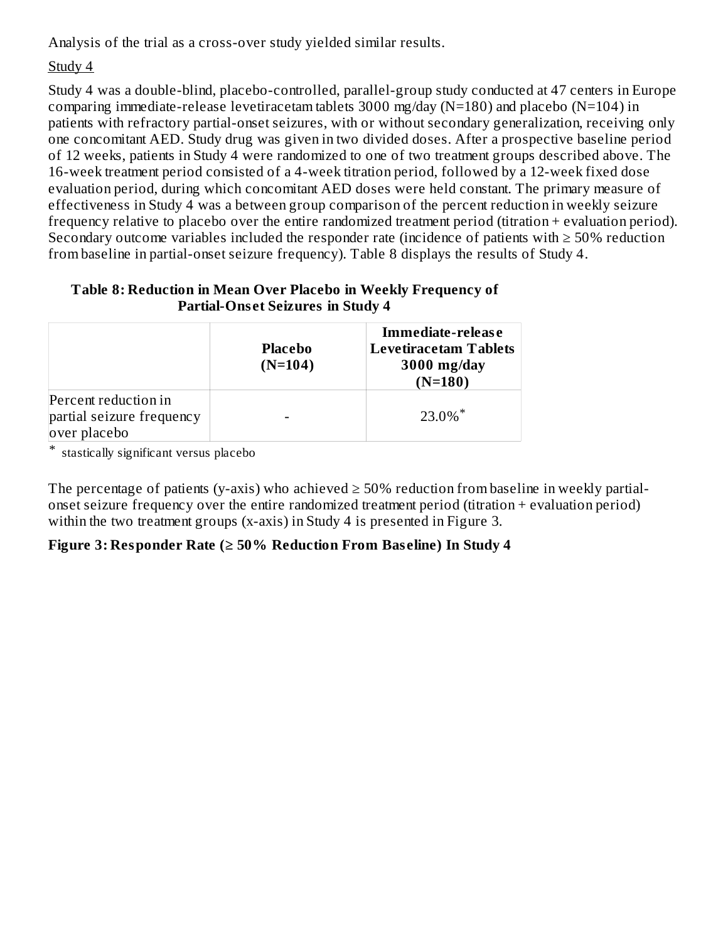Analysis of the trial as a cross-over study yielded similar results.

## Study 4

Study 4 was a double-blind, placebo-controlled, parallel-group study conducted at 47 centers in Europe comparing immediate-release levetiracetam tablets 3000 mg/day (N=180) and placebo (N=104) in patients with refractory partial-onset seizures, with or without secondary generalization, receiving only one concomitant AED. Study drug was given in two divided doses. After a prospective baseline period of 12 weeks, patients in Study 4 were randomized to one of two treatment groups described above. The 16-week treatment period consisted of a 4-week titration period, followed by a 12-week fixed dose evaluation period, during which concomitant AED doses were held constant. The primary measure of effectiveness in Study 4 was a between group comparison of the percent reduction in weekly seizure frequency relative to placebo over the entire randomized treatment period (titration + evaluation period). Secondary outcome variables included the responder rate (incidence of patients with  $\geq$  50% reduction from baseline in partial-onset seizure frequency). Table 8 displays the results of Study 4.

| Parual-Onset Seizures in Study 4                                  |                             |                                                                                 |  |
|-------------------------------------------------------------------|-----------------------------|---------------------------------------------------------------------------------|--|
|                                                                   | <b>Placebo</b><br>$(N=104)$ | Immediate-release<br><b>Levetiracetam Tablets</b><br>$3000$ mg/day<br>$(N=180)$ |  |
| Percent reduction in<br>partial seizure frequency<br>over placebo |                             | $23.0\%$ <sup>*</sup>                                                           |  |

### **Table 8: Reduction in Mean Over Placebo in Weekly Frequency of Partial-Ons et Seizures in Study 4**

\* stastically significant versus placebo

The percentage of patients (y-axis) who achieved  $\geq$  50% reduction from baseline in weekly partialonset seizure frequency over the entire randomized treatment period (titration + evaluation period) within the two treatment groups (x-axis) in Study 4 is presented in Figure 3.

### **Figure 3: Responder Rate (≥ 50% Reduction From Bas eline) In Study 4**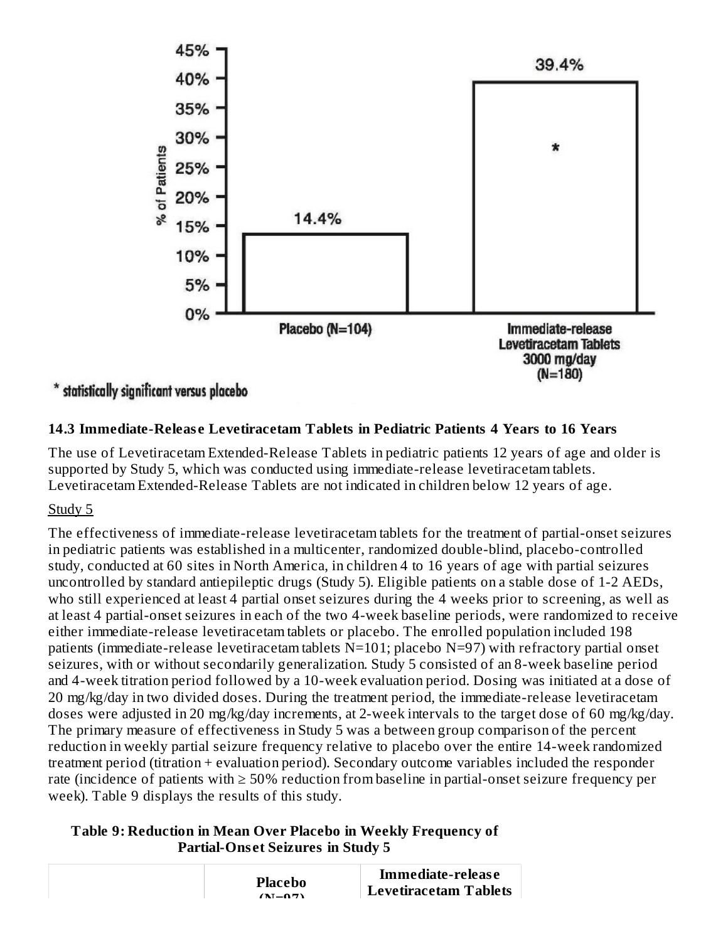

### \* statistically significant versus placebo

### **14.3 Immediate-Releas e Levetiracetam Tablets in Pediatric Patients 4 Years to 16 Years**

The use of Levetiracetam Extended-Release Tablets in pediatric patients 12 years of age and older is supported by Study 5, which was conducted using immediate-release levetiracetam tablets. Levetiracetam Extended-Release Tablets are not indicated in children below 12 years of age.

### Study 5

The effectiveness of immediate-release levetiracetam tablets for the treatment of partial-onset seizures in pediatric patients was established in a multicenter, randomized double-blind, placebo-controlled study, conducted at 60 sites in North America, in children 4 to 16 years of age with partial seizures uncontrolled by standard antiepileptic drugs (Study 5). Eligible patients on a stable dose of 1-2 AEDs, who still experienced at least 4 partial onset seizures during the 4 weeks prior to screening, as well as at least 4 partial-onset seizures in each of the two 4-week baseline periods, were randomized to receive either immediate-release levetiracetam tablets or placebo. The enrolled population included 198 patients (immediate-release levetiracetam tablets N=101; placebo N=97) with refractory partial onset seizures, with or without secondarily generalization. Study 5 consisted of an 8-week baseline period and 4-week titration period followed by a 10-week evaluation period. Dosing was initiated at a dose of 20 mg/kg/day in two divided doses. During the treatment period, the immediate-release levetiracetam doses were adjusted in 20 mg/kg/day increments, at 2-week intervals to the target dose of 60 mg/kg/day. The primary measure of effectiveness in Study 5 was a between group comparison of the percent reduction in weekly partial seizure frequency relative to placebo over the entire 14-week randomized treatment period (titration + evaluation period). Secondary outcome variables included the responder rate (incidence of patients with ≥ 50% reduction from baseline in partial-onset seizure frequency per week). Table 9 displays the results of this study.

#### **Table 9: Reduction in Mean Over Placebo in Weekly Frequency of Partial-Ons et Seizures in Study 5**

|  | <b>Placebo</b><br>$(\mathbf{N}-\mathbf{O}\mathbf{B})$ | Immediate-release<br><b>Levetiracetam Tablets</b> |
|--|-------------------------------------------------------|---------------------------------------------------|
|--|-------------------------------------------------------|---------------------------------------------------|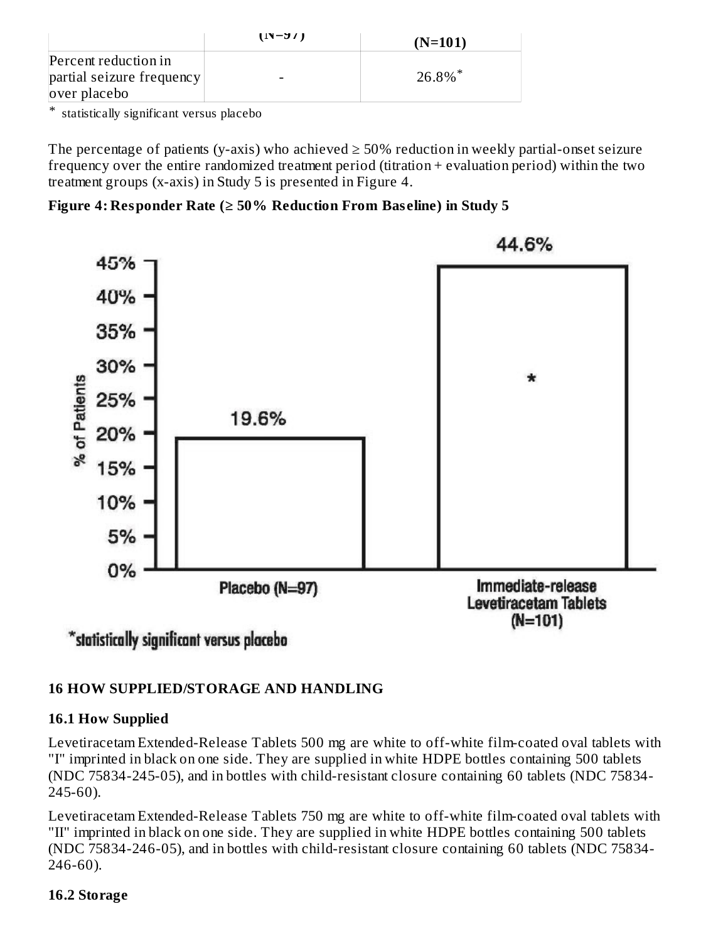|                                                                   | $(1N-1)$ | $(N=101)$             |
|-------------------------------------------------------------------|----------|-----------------------|
| Percent reduction in<br>partial seizure frequency<br>over placebo |          | $26.8\%$ <sup>*</sup> |

\* statistically significant versus placebo

The percentage of patients (y-axis) who achieved  $\geq$  50% reduction in weekly partial-onset seizure frequency over the entire randomized treatment period (titration + evaluation period) within the two treatment groups (x-axis) in Study 5 is presented in Figure 4.

### **Figure 4: Responder Rate (≥ 50% Reduction From Bas eline) in Study 5**



## **16 HOW SUPPLIED/STORAGE AND HANDLING**

### **16.1 How Supplied**

Levetiracetam Extended-Release Tablets 500 mg are white to off-white film-coated oval tablets with "I" imprinted in black on one side. They are supplied in white HDPE bottles containing 500 tablets (NDC 75834-245-05), and in bottles with child-resistant closure containing 60 tablets (NDC 75834- 245-60).

Levetiracetam Extended-Release Tablets 750 mg are white to off-white film-coated oval tablets with "II" imprinted in black on one side. They are supplied in white HDPE bottles containing 500 tablets (NDC 75834-246-05), and in bottles with child-resistant closure containing 60 tablets (NDC 75834- 246-60).

### **16.2 Storage**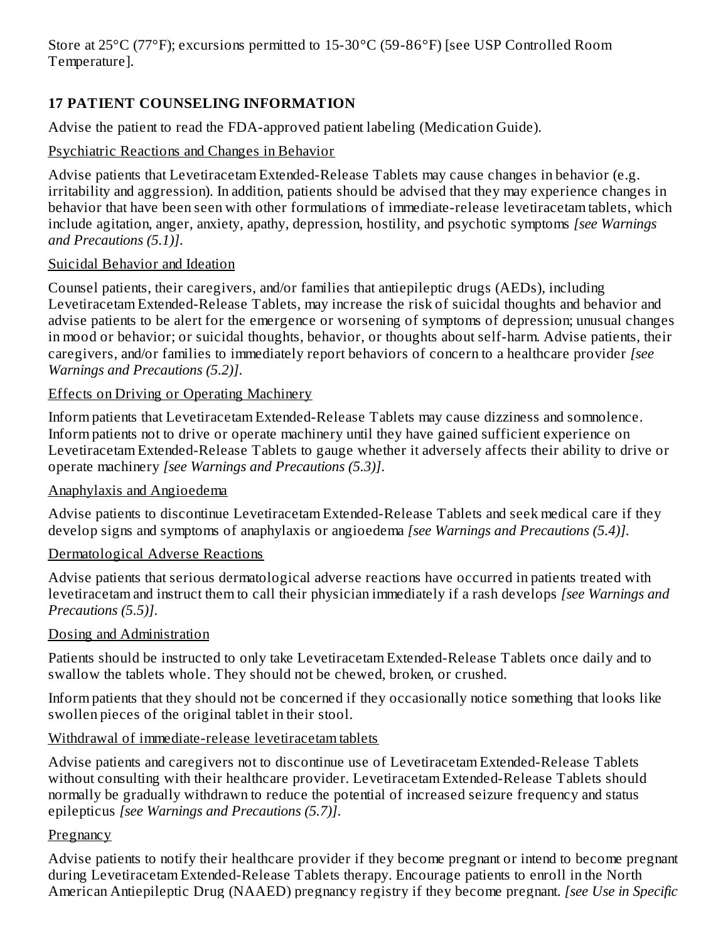Store at 25°C (77°F); excursions permitted to 15-30°C (59-86°F) [see USP Controlled Room Temperature].

## **17 PATIENT COUNSELING INFORMATION**

Advise the patient to read the FDA-approved patient labeling (Medication Guide).

### Psychiatric Reactions and Changes in Behavior

Advise patients that Levetiracetam Extended-Release Tablets may cause changes in behavior (e.g. irritability and aggression). In addition, patients should be advised that they may experience changes in behavior that have been seen with other formulations of immediate-release levetiracetam tablets, which include agitation, anger, anxiety, apathy, depression, hostility, and psychotic symptoms *[see Warnings and Precautions (5.1)]*.

### Suicidal Behavior and Ideation

Counsel patients, their caregivers, and/or families that antiepileptic drugs (AEDs), including Levetiracetam Extended-Release Tablets, may increase the risk of suicidal thoughts and behavior and advise patients to be alert for the emergence or worsening of symptoms of depression; unusual changes in mood or behavior; or suicidal thoughts, behavior, or thoughts about self-harm. Advise patients, their caregivers, and/or families to immediately report behaviors of concern to a healthcare provider *[see Warnings and Precautions (5.2)]*.

### Effects on Driving or Operating Machinery

Inform patients that Levetiracetam Extended-Release Tablets may cause dizziness and somnolence. Inform patients not to drive or operate machinery until they have gained sufficient experience on Levetiracetam Extended-Release Tablets to gauge whether it adversely affects their ability to drive or operate machinery *[see Warnings and Precautions (5.3)]*.

### Anaphylaxis and Angioedema

Advise patients to discontinue Levetiracetam Extended-Release Tablets and seek medical care if they develop signs and symptoms of anaphylaxis or angioedema *[see Warnings and Precautions (5.4)]*.

### Dermatological Adverse Reactions

Advise patients that serious dermatological adverse reactions have occurred in patients treated with levetiracetam and instruct them to call their physician immediately if a rash develops *[see Warnings and Precautions (5.5)]*.

### Dosing and Administration

Patients should be instructed to only take Levetiracetam Extended-Release Tablets once daily and to swallow the tablets whole. They should not be chewed, broken, or crushed.

Inform patients that they should not be concerned if they occasionally notice something that looks like swollen pieces of the original tablet in their stool.

## Withdrawal of immediate-release levetiracetam tablets

Advise patients and caregivers not to discontinue use of Levetiracetam Extended-Release Tablets without consulting with their healthcare provider. Levetiracetam Extended-Release Tablets should normally be gradually withdrawn to reduce the potential of increased seizure frequency and status epilepticus *[see Warnings and Precautions (5.7)]*.

### Pregnancy

Advise patients to notify their healthcare provider if they become pregnant or intend to become pregnant during Levetiracetam Extended-Release Tablets therapy. Encourage patients to enroll in the North American Antiepileptic Drug (NAAED) pregnancy registry if they become pregnant. *[see Use in Specific*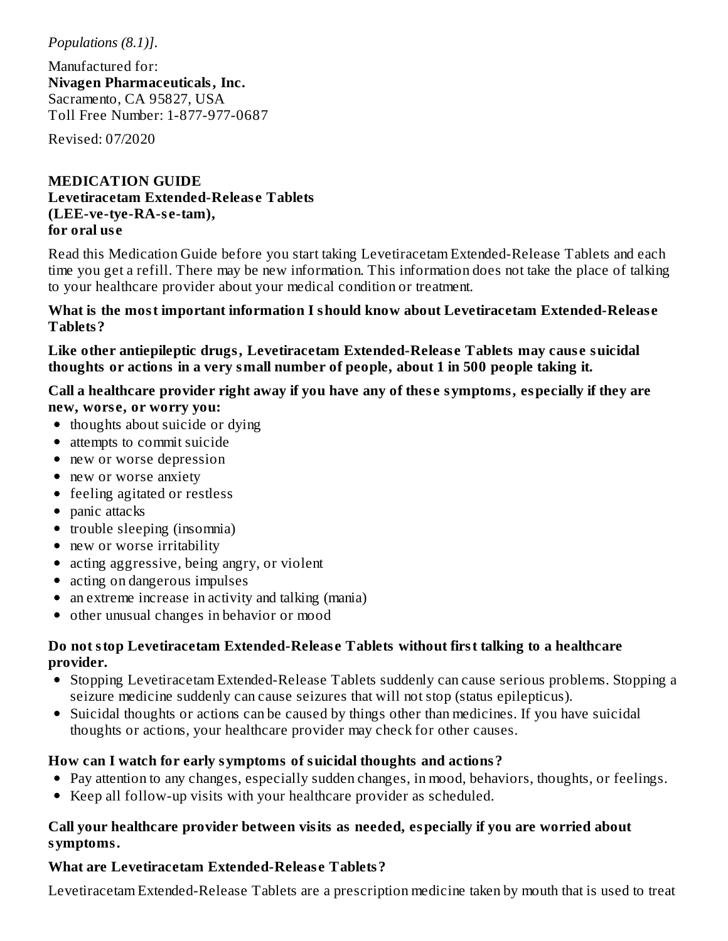*Populations (8.1)]*.

Manufactured for: **Nivagen Pharmaceuticals, Inc.** Sacramento, CA 95827, USA Toll Free Number: 1-877-977-0687

Revised: 07/2020

#### **MEDICATION GUIDE Levetiracetam Extended-Releas e Tablets (LEE-ve-tye-RA-s e-tam), for oral us e**

Read this Medication Guide before you start taking Levetiracetam Extended-Release Tablets and each time you get a refill. There may be new information. This information does not take the place of talking to your healthcare provider about your medical condition or treatment.

#### **What is the most important information I should know about Levetiracetam Extended-Releas e Tablets?**

**Like other antiepileptic drugs, Levetiracetam Extended-Releas e Tablets may caus e suicidal thoughts or actions in a very small number of people, about 1 in 500 people taking it.**

**Call a healthcare provider right away if you have any of thes e symptoms, especially if they are new, wors e, or worry you:**

- thoughts about suicide or dying
- attempts to commit suicide
- new or worse depression
- new or worse anxiety
- feeling agitated or restless
- panic attacks
- trouble sleeping (insomnia)
- new or worse irritability
- acting aggressive, being angry, or violent
- acting on dangerous impulses
- an extreme increase in activity and talking (mania)
- other unusual changes in behavior or mood

#### **Do not stop Levetiracetam Extended-Releas e Tablets without first talking to a healthcare provider.**

- Stopping Levetiracetam Extended-Release Tablets suddenly can cause serious problems. Stopping a seizure medicine suddenly can cause seizures that will not stop (status epilepticus).
- Suicidal thoughts or actions can be caused by things other than medicines. If you have suicidal thoughts or actions, your healthcare provider may check for other causes.

### **How can I watch for early symptoms of suicidal thoughts and actions?**

- Pay attention to any changes, especially sudden changes, in mood, behaviors, thoughts, or feelings.
- Keep all follow-up visits with your healthcare provider as scheduled.

#### **Call your healthcare provider between visits as needed, especially if you are worried about symptoms.**

### **What are Levetiracetam Extended-Releas e Tablets?**

Levetiracetam Extended-Release Tablets are a prescription medicine taken by mouth that is used to treat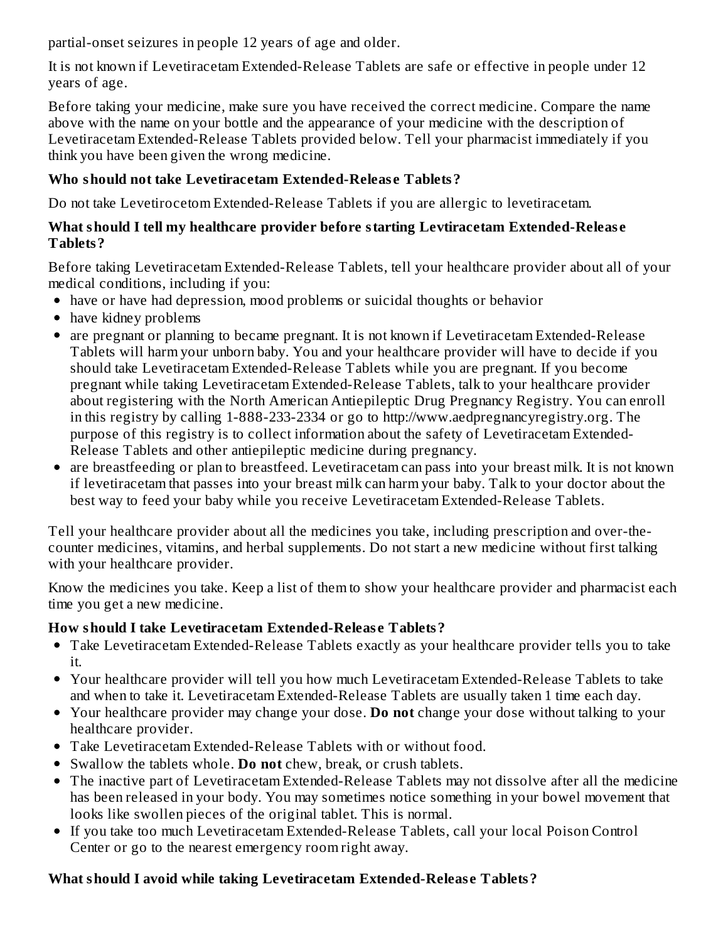partial-onset seizures in people 12 years of age and older.

It is not known if Levetiracetam Extended-Release Tablets are safe or effective in people under 12 years of age.

Before taking your medicine, make sure you have received the correct medicine. Compare the name above with the name on your bottle and the appearance of your medicine with the description of Levetiracetam Extended-Release Tablets provided below. Tell your pharmacist immediately if you think you have been given the wrong medicine.

## **Who should not take Levetiracetam Extended-Releas e Tablets?**

Do not take Levetirocetom Extended-Release Tablets if you are allergic to levetiracetam.

### **What should I tell my healthcare provider before starting Levtiracetam Extended-Releas e Tablets?**

Before taking Levetiracetam Extended-Release Tablets, tell your healthcare provider about all of your medical conditions, including if you:

- have or have had depression, mood problems or suicidal thoughts or behavior
- have kidney problems
- are pregnant or planning to became pregnant. It is not known if Levetiracetam Extended-Release Tablets will harm your unborn baby. You and your healthcare provider will have to decide if you should take Levetiracetam Extended-Release Tablets while you are pregnant. If you become pregnant while taking Levetiracetam Extended-Release Tablets, talk to your healthcare provider about registering with the North American Antiepileptic Drug Pregnancy Registry. You can enroll in this registry by calling 1-888-233-2334 or go to http://www.aedpregnancyregistry.org. The purpose of this registry is to collect information about the safety of Levetiracetam Extended-Release Tablets and other antiepileptic medicine during pregnancy.
- are breastfeeding or plan to breastfeed. Levetiracetam can pass into your breast milk. It is not known if levetiracetam that passes into your breast milk can harm your baby. Talk to your doctor about the best way to feed your baby while you receive Levetiracetam Extended-Release Tablets.

Tell your healthcare provider about all the medicines you take, including prescription and over-thecounter medicines, vitamins, and herbal supplements. Do not start a new medicine without first talking with your healthcare provider.

Know the medicines you take. Keep a list of them to show your healthcare provider and pharmacist each time you get a new medicine.

## **How should I take Levetiracetam Extended-Releas e Tablets?**

- Take Levetiracetam Extended-Release Tablets exactly as your healthcare provider tells you to take it.
- Your healthcare provider will tell you how much Levetiracetam Extended-Release Tablets to take and when to take it. Levetiracetam Extended-Release Tablets are usually taken 1 time each day.
- Your healthcare provider may change your dose. **Do not** change your dose without talking to your healthcare provider.
- Take Levetiracetam Extended-Release Tablets with or without food.
- Swallow the tablets whole. **Do not** chew, break, or crush tablets.
- The inactive part of Levetiracetam Extended-Release Tablets may not dissolve after all the medicine has been released in your body. You may sometimes notice something in your bowel movement that looks like swollen pieces of the original tablet. This is normal.
- If you take too much Levetiracetam Extended-Release Tablets, call your local Poison Control Center or go to the nearest emergency room right away.

## **What should I avoid while taking Levetiracetam Extended-Releas e Tablets?**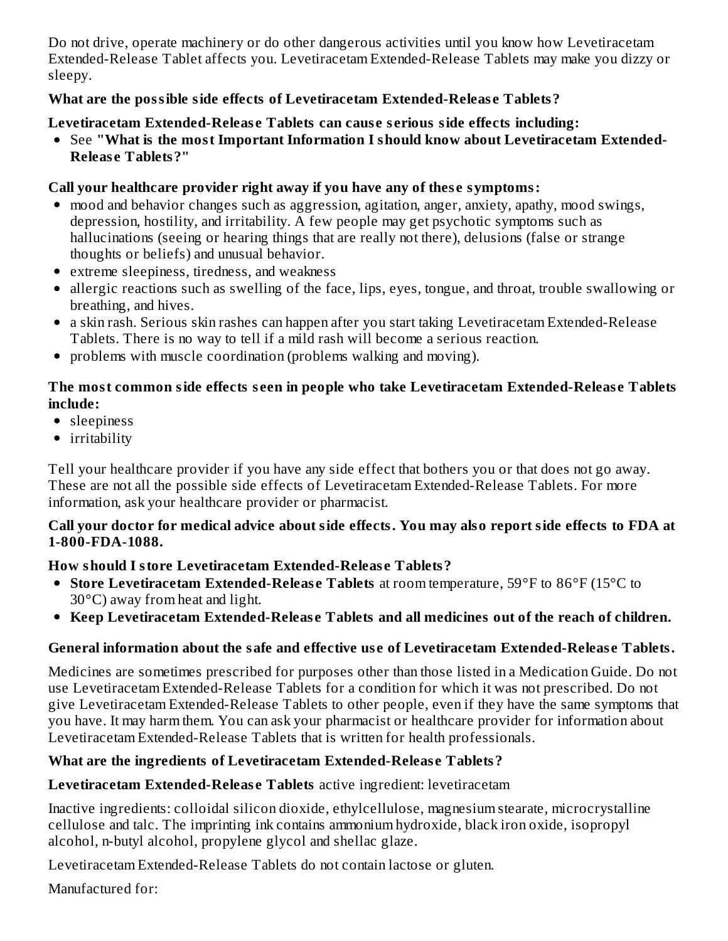Do not drive, operate machinery or do other dangerous activities until you know how Levetiracetam Extended-Release Tablet affects you. Levetiracetam Extended-Release Tablets may make you dizzy or sleepy.

### **What are the possible side effects of Levetiracetam Extended-Releas e Tablets?**

### **Levetiracetam Extended-Releas e Tablets can caus e s erious side effects including:**

See **"What is the most Important Information I should know about Levetiracetam Extended-Releas e Tablets?"**

### **Call your healthcare provider right away if you have any of thes e symptoms:**

- mood and behavior changes such as aggression, agitation, anger, anxiety, apathy, mood swings, depression, hostility, and irritability. A few people may get psychotic symptoms such as hallucinations (seeing or hearing things that are really not there), delusions (false or strange thoughts or beliefs) and unusual behavior.
- extreme sleepiness, tiredness, and weakness
- allergic reactions such as swelling of the face, lips, eyes, tongue, and throat, trouble swallowing or breathing, and hives.
- a skin rash. Serious skin rashes can happen after you start taking Levetiracetam Extended-Release Tablets. There is no way to tell if a mild rash will become a serious reaction.
- problems with muscle coordination (problems walking and moving).

#### **The most common side effects s een in people who take Levetiracetam Extended-Releas e Tablets include:**

- sleepiness
- irritability

Tell your healthcare provider if you have any side effect that bothers you or that does not go away. These are not all the possible side effects of Levetiracetam Extended-Release Tablets. For more information, ask your healthcare provider or pharmacist.

### **Call your doctor for medical advice about side effects. You may also report side effects to FDA at 1-800-FDA-1088.**

## **How should I store Levetiracetam Extended-Releas e Tablets?**

- **Store Levetiracetam Extended-Releas e Tablets** at room temperature, 59°F to 86°F (15°C to 30°C) away from heat and light.
- **Keep Levetiracetam Extended-Releas e Tablets and all medicines out of the reach of children.**

### **General information about the safe and effective us e of Levetiracetam Extended-Releas e Tablets.**

Medicines are sometimes prescribed for purposes other than those listed in a Medication Guide. Do not use Levetiracetam Extended-Release Tablets for a condition for which it was not prescribed. Do not give Levetiracetam Extended-Release Tablets to other people, even if they have the same symptoms that you have. It may harm them. You can ask your pharmacist or healthcare provider for information about Levetiracetam Extended-Release Tablets that is written for health professionals.

## **What are the ingredients of Levetiracetam Extended-Releas e Tablets?**

## **Levetiracetam Extended-Releas e Tablets** active ingredient: levetiracetam

Inactive ingredients: colloidal silicon dioxide, ethylcellulose, magnesium stearate, microcrystalline cellulose and talc. The imprinting ink contains ammonium hydroxide, black iron oxide, isopropyl alcohol, n-butyl alcohol, propylene glycol and shellac glaze.

Levetiracetam Extended-Release Tablets do not contain lactose or gluten.

Manufactured for: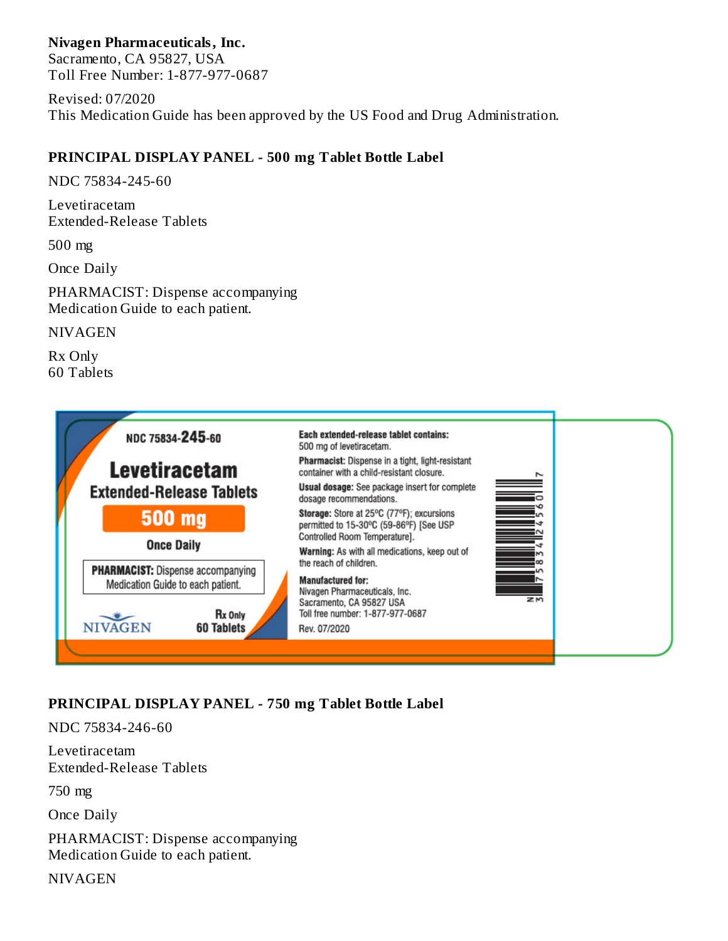### **Nivagen Pharmaceuticals, Inc.**

Sacramento, CA 95827, USA Toll Free Number: 1-877-977-0687

Revised: 07/2020 This Medication Guide has been approved by the US Food and Drug Administration.

### **PRINCIPAL DISPLAY PANEL - 500 mg Tablet Bottle Label**

NDC 75834-245-60

Levetiracetam Extended-Release Tablets

500 mg

Once Daily

PHARMACIST: Dispense accompanying Medication Guide to each patient.

NIVAGEN

Rx Only 60 Tablets



## **PRINCIPAL DISPLAY PANEL - 750 mg Tablet Bottle Label**

NDC 75834-246-60

Levetiracetam Extended-Release Tablets

750 mg

Once Daily

PHARMACIST: Dispense accompanying Medication Guide to each patient.

**NIVAGEN**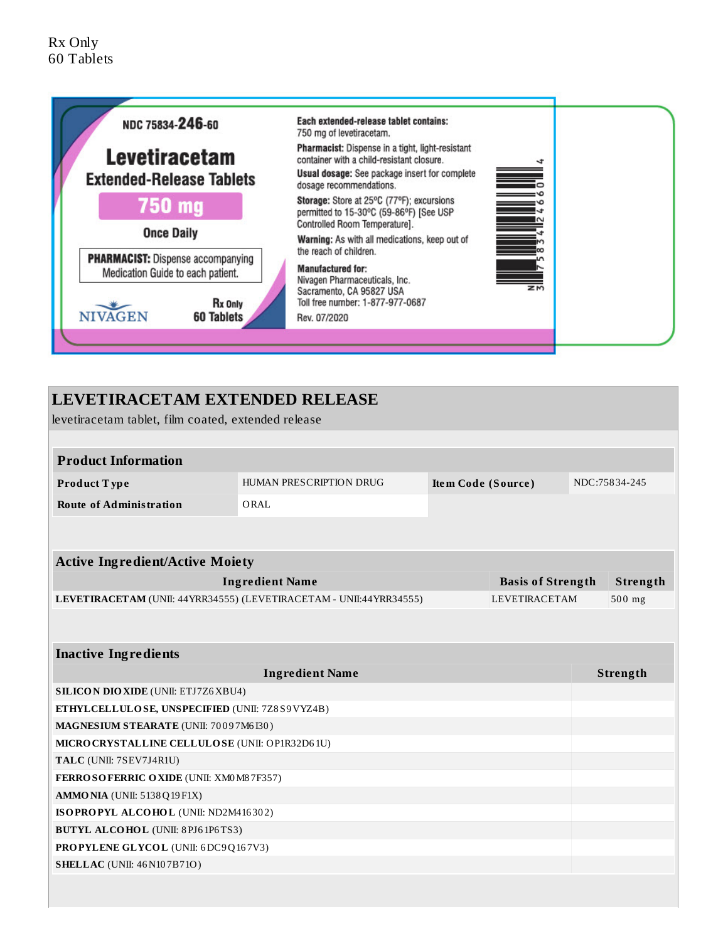

## **LEVETIRACETAM EXTENDED RELEASE**

levetiracetam tablet, film coated, extended release

### **Product Information**

| <b>Product Type</b>     | HUMAN PRESCRIPTION DRUG | Item Code (Source) | NDC:75834-245 |
|-------------------------|-------------------------|--------------------|---------------|
| Route of Administration | ORAL                    |                    |               |

| <b>Active Ingredient/Active Moiety</b>                             |                          |          |  |  |
|--------------------------------------------------------------------|--------------------------|----------|--|--|
| Ingredient Name                                                    | <b>Basis of Strength</b> | Strength |  |  |
| LEVETIRACETAM (UNII: 44YRR34555) (LEVETIRACETAM - UNII:44YRR34555) | <b>LEVETIRACETAM</b>     | $500$ mg |  |  |
|                                                                    |                          |          |  |  |

| <b>Inactive Ingredients</b>                     |          |  |  |  |
|-------------------------------------------------|----------|--|--|--|
| <b>Ingredient Name</b>                          | Strength |  |  |  |
| <b>SILICON DIO XIDE (UNII: ETJ7Z6XBU4)</b>      |          |  |  |  |
| ETHYLCELLULOSE, UNSPECIFIED (UNII: 7Z8S9VYZ4B)  |          |  |  |  |
| <b>MAGNESIUM STEARATE (UNII: 70097M6I30)</b>    |          |  |  |  |
| MICRO CRYSTALLINE CELLULO SE (UNII: OP1R32D61U) |          |  |  |  |
| TALC (UNII: 7SEV7J4R1U)                         |          |  |  |  |
| <b>FERROSOFERRIC OXIDE (UNII: XMOM87F357)</b>   |          |  |  |  |
| $AMMO NIA$ (UNII: $5138Q19F1X$ )                |          |  |  |  |
| ISOPROPYL ALCOHOL (UNII: ND2M416302)            |          |  |  |  |
| <b>BUTYL ALCOHOL</b> (UNII: 8PJ61P6TS3)         |          |  |  |  |
| <b>PROPYLENE GLYCOL</b> (UNII: 6DC9Q167V3)      |          |  |  |  |
| <b>SHELLAC</b> (UNII: 46 N10 7 B 7 10)          |          |  |  |  |
|                                                 |          |  |  |  |
|                                                 |          |  |  |  |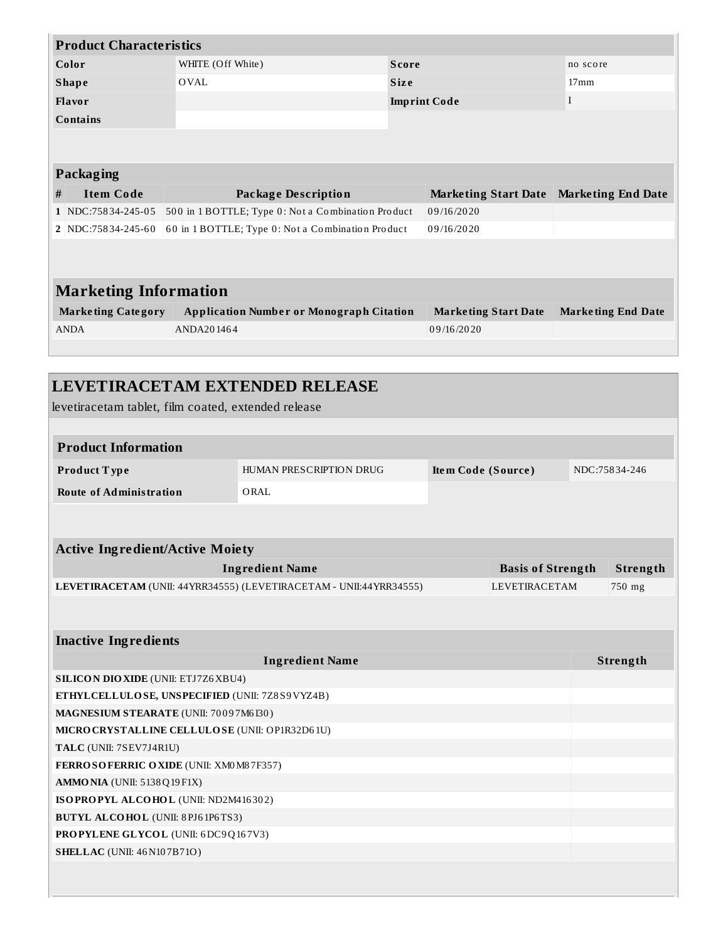| <b>Product Characteristics</b> |                   |                     |                |  |  |
|--------------------------------|-------------------|---------------------|----------------|--|--|
| Color                          | WHITE (Off White) | <b>Score</b>        | no score       |  |  |
| <b>Shape</b>                   | OVAL              | <b>Size</b>         | $17 \text{mm}$ |  |  |
| Flavor                         |                   | <b>Imprint Code</b> |                |  |  |
| <b>Contains</b>                |                   |                     |                |  |  |
|                                |                   |                     |                |  |  |
|                                |                   |                     |                |  |  |

| <b>Packaging</b> |
|------------------|
|------------------|

| Item Code | Package Description                                                      | Marketing Start Date Marketing End Date |  |
|-----------|--------------------------------------------------------------------------|-----------------------------------------|--|
|           | 1 NDC:75834-245-05 500 in 1 BOTTLE; Type 0: Not a Combination Product    | 09/16/2020                              |  |
|           | 2   NDC:75834-245-60   60 in 1 BOTTLE; Type 0: Not a Combination Product | 09/16/2020                              |  |

# **Marketing Information**

| <b>Application Number or Monograph Citation</b><br><b>Marketing Category</b> |            | Marketing Start Date | <b>Marketing End Date</b> |  |
|------------------------------------------------------------------------------|------------|----------------------|---------------------------|--|
| ANDA                                                                         | ANDA201464 | 09/16/2020           |                           |  |

| <b>LEVETIRACETAM EXTENDED RELEASE</b><br>levetiracetam tablet, film coated, extended release |                                                                    |                    |                          |               |
|----------------------------------------------------------------------------------------------|--------------------------------------------------------------------|--------------------|--------------------------|---------------|
|                                                                                              |                                                                    |                    |                          |               |
| <b>Product Information</b>                                                                   |                                                                    |                    |                          |               |
| Product Type                                                                                 | HUMAN PRESCRIPTION DRUG                                            | Item Code (Source) |                          | NDC:75834-246 |
| <b>Route of Administration</b>                                                               | ORAL                                                               |                    |                          |               |
|                                                                                              |                                                                    |                    |                          |               |
| <b>Active Ingredient/Active Moiety</b>                                                       |                                                                    |                    |                          |               |
|                                                                                              | <b>Ingredient Name</b>                                             |                    | <b>Basis of Strength</b> | Strength      |
|                                                                                              | LEVETIRACETAM (UNII: 44YRR34555) (LEVETIRACETAM - UNII:44YRR34555) |                    | <b>LEVETIRACETAM</b>     | 750 mg        |
| <b>Inactive Ingredients</b>                                                                  |                                                                    |                    |                          |               |
|                                                                                              | <b>Ingredient Name</b>                                             |                    |                          | Strength      |
| <b>SILICON DIO XIDE (UNII: ETJ7Z6 XBU4)</b>                                                  |                                                                    |                    |                          |               |
| ETHYLCELLULOSE, UNSPECIFIED (UNII: 7Z8S9VYZ4B)                                               |                                                                    |                    |                          |               |
| MAGNESIUM STEARATE (UNII: 70097M6130)                                                        |                                                                    |                    |                          |               |
| MICRO CRYSTALLINE CELLULO SE (UNII: OP1R32D61U)                                              |                                                                    |                    |                          |               |
| TALC (UNII: 7SEV7J4R1U)                                                                      |                                                                    |                    |                          |               |
| FERROSOFERRIC OXIDE (UNII: XM0 M87F357)                                                      |                                                                    |                    |                          |               |
| $AMMO NIA$ (UNII: $5138Q19F1X$ )                                                             |                                                                    |                    |                          |               |
| ISOPROPYL ALCOHOL (UNII: ND2M416302)                                                         |                                                                    |                    |                          |               |
| <b>BUTYL ALCOHOL</b> (UNII: 8PJ61P6TS3)                                                      |                                                                    |                    |                          |               |
| PROPYLENE GLYCOL (UNII: 6DC9Q167V3)                                                          |                                                                    |                    |                          |               |
| <b>SHELLAC</b> (UNII: 46 N107B71O)                                                           |                                                                    |                    |                          |               |
|                                                                                              |                                                                    |                    |                          |               |
|                                                                                              |                                                                    |                    |                          |               |